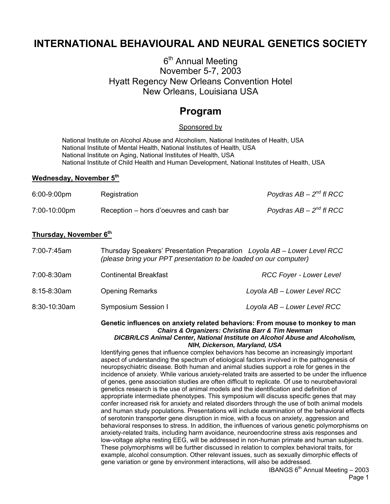# **INTERNATIONAL BEHAVIOURAL AND NEURAL GENETICS SOCIETY**

# 6<sup>th</sup> Annual Meeting November 5-7, 2003 Hyatt Regency New Orleans Convention Hotel New Orleans, Louisiana USA

# **Program**

#### Sponsored by

 National Institute on Alcohol Abuse and Alcoholism, National Institutes of Health, USA National Institute of Mental Health, National Institutes of Health, USA National Institute on Aging, National Institutes of Health, USA National Institute of Child Health and Human Development, National Institutes of Health, USA

#### **Wednesday, November 5th**

| 6:00-9:00pm  | Registration                            | Poydras $AB - 2^{nd}$ fl RCC |
|--------------|-----------------------------------------|------------------------------|
| 7:00-10:00pm | Reception – hors d'oeuvres and cash bar | Poydras $AB - 2^{nd}$ fl RCC |

#### **Thursday, November 6th**

| 7:00-7:45am  | Thursday Speakers' Presentation Preparation Loyola AB - Lower Level RCC<br>(please bring your PPT presentation to be loaded on our computer) |                                |  |
|--------------|----------------------------------------------------------------------------------------------------------------------------------------------|--------------------------------|--|
| 7:00-8:30am  | <b>Continental Breakfast</b>                                                                                                                 | <b>RCC Foyer - Lower Level</b> |  |
| 8:15-8:30am  | <b>Opening Remarks</b>                                                                                                                       | Loyola AB - Lower Level RCC    |  |
| 8:30-10:30am | Symposium Session I                                                                                                                          | Loyola AB - Lower Level RCC    |  |

**Genetic influences on anxiety related behaviors: From mouse to monkey to man**  *Chairs & Organizers: Christina Barr & Tim Newman DICBR/LCS Animal Center, National Institute on Alcohol Abuse and Alcoholism,* 

*NIH, Dickerson, Maryland, USA*

Identifying genes that influence complex behaviors has become an increasingly important aspect of understanding the spectrum of etiological factors involved in the pathogenesis of neuropsychiatric disease. Both human and animal studies support a role for genes in the incidence of anxiety. While various anxiety-related traits are asserted to be under the influence of genes, gene association studies are often difficult to replicate. Of use to neurobehavioral genetics research is the use of animal models and the identification and definition of appropriate intermediate phenotypes. This symposium will discuss specific genes that may confer increased risk for anxiety and related disorders through the use of both animal models and human study populations. Presentations will include examination of the behavioral effects of serotonin transporter gene disruption in mice, with a focus on anxiety, aggression and behavioral responses to stress. In addition, the influences of various genetic polymorphisms on anxiety-related traits, including harm avoidance, neuroendocrine stress axis responses and low-voltage alpha resting EEG, will be addressed in non-human primate and human subjects. These polymorphisms will be further discussed in relation to complex behavioral traits, for example, alcohol consumption. Other relevant issues, such as sexually dimorphic effects of gene variation or gene by environment interactions, will also be addressed.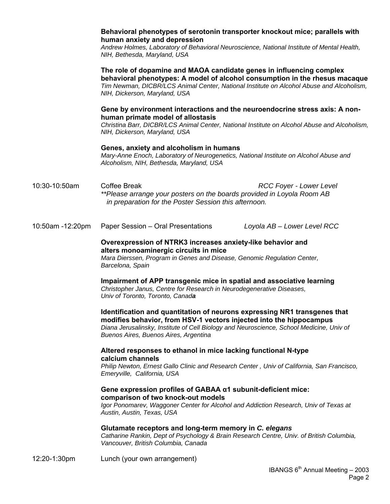#### **Behavioral phenotypes of serotonin transporter knockout mice; parallels with human anxiety and depression**

*Andrew Holmes, Laboratory of Behavioral Neuroscience, National Institute of Mental Health, NIH, Bethesda, Maryland, USA* 

**The role of dopamine and MAOA candidate genes in influencing complex behavioral phenotypes: A model of alcohol consumption in the rhesus macaque**  *Tim Newman, DICBR/LCS Animal Center, National Institute on Alcohol Abuse and Alcoholism, NIH, Dickerson, Maryland, USA* 

#### **Gene by environment interactions and the neuroendocrine stress axis: A nonhuman primate model of allostasis**

*Christina Barr, DICBR/LCS Animal Center, National Institute on Alcohol Abuse and Alcoholism, NIH, Dickerson, Maryland, USA* 

#### **Genes, anxiety and alcoholism in humans**

*Mary-Anne Enoch, Laboratory of Neurogenetics, National Institute on Alcohol Abuse and Alcoholism, NIH, Bethesda, Maryland, USA* 

10:30-10:50am Coffee Break *RCC Foyer - Lower Level \*\*Please arrange your posters on the boards provided in Loyola Room AB in preparation for the Poster Session this afternoon.*

10:50am -12:20pm Paper Session – Oral Presentations *Loyola AB – Lower Level RCC*

#### **Overexpression of NTRK3 increases anxiety-like behavior and alters monoaminergic circuits in mice**

*Mara Dierssen, Program in Genes and Disease, Genomic Regulation Center, Barcelona, Spain*

**Impairment of APP transgenic mice in spatial and associative learning**  *Christopher Janus, Centre for Research in Neurodegenerative Diseases, Univ of Toronto, Toronto, Canada*

**Identification and quantitation of neurons expressing NR1 transgenes that modifies behavior, from HSV-1 vectors injected into the hippocampus** 

*Diana Jerusalinsky, Institute of Cell Biology and Neuroscience, School Medicine, Univ of Buenos Aires, Buenos Aires, Argentina*

#### **Altered responses to ethanol in mice lacking functional N-type calcium channels**

*Philip Newton, Ernest Gallo Clinic and Research Center , Univ of California, San Francisco, Emeryville, California, USA* 

#### **Gene expression profiles of GABAA α1 subunit-deficient mice: comparison of two knock-out models**

*Igor Ponomarev, Waggoner Center for Alcohol and Addiction Research, Univ of Texas at Austin, Austin, Texas, USA*

#### **Glutamate receptors and long-term memory in** *C. elegans*

*Catharine Rankin, Dept of Psychology & Brain Research Centre, Univ. of British Columbia, Vancouver, British Columbia, Canada*

12:20-1:30pm Lunch (your own arrangement)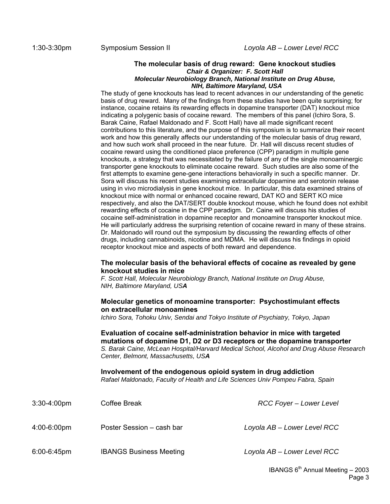#### **The molecular basis of drug reward: Gene knockout studies**  *Chair & Organizer: F. Scott Hall Molecular Neurobiology Branch, National Institute on Drug Abuse, NIH, Baltimore Maryland, USA*

The study of gene knockouts has lead to recent advances in our understanding of the genetic basis of drug reward. Many of the findings from these studies have been quite surprising; for instance, cocaine retains its rewarding effects in dopamine transporter (DAT) knockout mice indicating a polygenic basis of cocaine reward. The members of this panel (Ichiro Sora, S. Barak Caine, Rafael Maldonado and F. Scott Hall) have all made significant recent contributions to this literature, and the purpose of this symposium is to summarize their recent work and how this generally affects our understanding of the molecular basis of drug reward, and how such work shall proceed in the near future. Dr. Hall will discuss recent studies of cocaine reward using the conditioned place preference (CPP) paradigm in multiple gene knockouts, a strategy that was necessitated by the failure of any of the single monoaminergic transporter gene knockouts to eliminate cocaine reward. Such studies are also some of the first attempts to examine gene-gene interactions behaviorally in such a specific manner. Dr. Sora will discuss his recent studies examining extracellular dopamine and serotonin release using in vivo microdialysis in gene knockout mice. In particular, this data examined strains of knockout mice with normal or enhanced cocaine reward, DAT KO and SERT KO mice respectively, and also the DAT/SERT double knockout mouse, which he found does not exhibit rewarding effects of cocaine in the CPP paradigm. Dr. Caine will discuss his studies of cocaine self-administration in dopamine receptor and monoamine transporter knockout mice. He will particularly address the surprising retention of cocaine reward in many of these strains. Dr. Maldonado will round out the symposium by discussing the rewarding effects of other drugs, including cannabinoids, nicotine and MDMA. He will discuss his findings in opioid receptor knockout mice and aspects of both reward and dependence.

#### **The molecular basis of the behavioral effects of cocaine as revealed by gene knockout studies in mice**

*F. Scott Hall, Molecular Neurobiology Branch, National Institute on Drug Abuse, NIH, Baltimore Maryland, USA* 

#### **Molecular genetics of monoamine transporter: Psychostimulant effects on extracellular monoamines**

*Ichiro Sora, Tohoku Univ, Sendai and Tokyo Institute of Psychiatry, Tokyo, Japan* 

**Evaluation of cocaine self-administration behavior in mice with targeted mutations of dopamine D1, D2 or D3 receptors or the dopamine transporter**  *S. Barak Caine, McLean Hospital/Harvard Medical School, Alcohol and Drug Abuse Research Center, Belmont, Massachusetts, USA* 

**Involvement of the endogenous opioid system in drug addiction**  *Rafael Maldonado, Faculty of Health and Life Sciences Univ Pompeu Fabra, Spain* 

| $3:30-4:00$ pm | Coffee Break                   | <b>RCC Foyer - Lower Level</b> |
|----------------|--------------------------------|--------------------------------|
| 4:00-6:00pm    | Poster Session - cash bar      | Loyola AB - Lower Level RCC    |
| 6:00-6:45pm    | <b>IBANGS Business Meeting</b> | Loyola AB - Lower Level RCC    |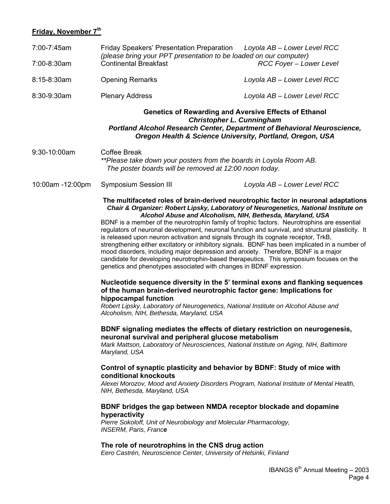# **Friday, November 7th**

| 7:00-7:45am      | <b>Friday Speakers' Presentation Preparation</b><br>Loyola AB - Lower Level RCC<br>(please bring your PPT presentation to be loaded on our computer)                                                                                                                                                                                                                                                                                                                                                                                                                                                                                                                                                                                                                                                                                                                                                                                                                                                                                                                                                                                                                                                               |                                        |  |
|------------------|--------------------------------------------------------------------------------------------------------------------------------------------------------------------------------------------------------------------------------------------------------------------------------------------------------------------------------------------------------------------------------------------------------------------------------------------------------------------------------------------------------------------------------------------------------------------------------------------------------------------------------------------------------------------------------------------------------------------------------------------------------------------------------------------------------------------------------------------------------------------------------------------------------------------------------------------------------------------------------------------------------------------------------------------------------------------------------------------------------------------------------------------------------------------------------------------------------------------|----------------------------------------|--|
| 7:00-8:30am      | <b>Continental Breakfast</b>                                                                                                                                                                                                                                                                                                                                                                                                                                                                                                                                                                                                                                                                                                                                                                                                                                                                                                                                                                                                                                                                                                                                                                                       | <b>RCC Foyer - Lower Level</b>         |  |
| 8:15-8:30am      | <b>Opening Remarks</b>                                                                                                                                                                                                                                                                                                                                                                                                                                                                                                                                                                                                                                                                                                                                                                                                                                                                                                                                                                                                                                                                                                                                                                                             | Loyola AB - Lower Level RCC            |  |
| 8:30-9:30am      | <b>Plenary Address</b>                                                                                                                                                                                                                                                                                                                                                                                                                                                                                                                                                                                                                                                                                                                                                                                                                                                                                                                                                                                                                                                                                                                                                                                             | Loyola AB - Lower Level RCC            |  |
|                  | <b>Genetics of Rewarding and Aversive Effects of Ethanol</b><br><b>Christopher L. Cunningham</b><br>Portland Alcohol Research Center, Department of Behavioral Neuroscience,<br>Oregon Health & Science University, Portland, Oregon, USA                                                                                                                                                                                                                                                                                                                                                                                                                                                                                                                                                                                                                                                                                                                                                                                                                                                                                                                                                                          |                                        |  |
| 9:30-10:00am     | <b>Coffee Break</b><br>**Please take down your posters from the boards in Loyola Room AB.<br>The poster boards will be removed at 12:00 noon today.                                                                                                                                                                                                                                                                                                                                                                                                                                                                                                                                                                                                                                                                                                                                                                                                                                                                                                                                                                                                                                                                |                                        |  |
| 10:00am -12:00pm | <b>Symposium Session III</b>                                                                                                                                                                                                                                                                                                                                                                                                                                                                                                                                                                                                                                                                                                                                                                                                                                                                                                                                                                                                                                                                                                                                                                                       | Loyola AB - Lower Level RCC            |  |
|                  | The multifaceted roles of brain-derived neurotrophic factor in neuronal adaptations<br>Chair & Organizer: Robert Lipsky, Laboratory of Neurogenetics, National Institute on<br>Alcohol Abuse and Alcoholism, NIH, Bethesda, Maryland, USA<br>BDNF is a member of the neurotrophin family of trophic factors. Neurotrophins are essential<br>regulators of neuronal development, neuronal function and survival, and structural plasticity. It<br>is released upon neuron activation and signals through its cognate receptor, TrkB,<br>strengthening either excitatory or inhibitory signals. BDNF has been implicated in a number of<br>mood disorders, including major depression and anxiety. Therefore, BDNF is a major<br>candidate for developing neurotrophin-based therapeutics. This symposium focuses on the<br>genetics and phenotypes associated with changes in BDNF expression.<br>Nucleotide sequence diversity in the 5' terminal exons and flanking sequences<br>of the human brain-derived neurotrophic factor gene: Implications for<br>hippocampal function<br>Robert Lipsky, Laboratory of Neurogenetics, National Institute on Alcohol Abuse and<br>Alcoholism, NIH, Bethesda, Maryland, USA |                                        |  |
|                  | BDNF signaling mediates the effects of dietary restriction on neurogenesis,<br>neuronal survival and peripheral glucose metabolism<br>Mark Mattson, Laboratory of Neurosciences, National Institute on Aging, NIH, Baltimore<br>Maryland, USA<br>Control of synaptic plasticity and behavior by BDNF: Study of mice with<br>conditional knockouts<br>Alexei Morozov, Mood and Anxiety Disorders Program, National Institute of Mental Health,<br>NIH, Bethesda, Maryland, USA<br>BDNF bridges the gap between NMDA receptor blockade and dopamine<br>hyperactivity<br>Pierre Sokoloff, Unit of Neurobiology and Molecular Pharmacology,<br><b>INSERM, Paris, France</b>                                                                                                                                                                                                                                                                                                                                                                                                                                                                                                                                            |                                        |  |
|                  | The role of neurotrophins in the CNS drug action<br>Eero Castrén, Neuroscience Center, University of Helsinki, Finland                                                                                                                                                                                                                                                                                                                                                                                                                                                                                                                                                                                                                                                                                                                                                                                                                                                                                                                                                                                                                                                                                             |                                        |  |
|                  |                                                                                                                                                                                                                                                                                                                                                                                                                                                                                                                                                                                                                                                                                                                                                                                                                                                                                                                                                                                                                                                                                                                                                                                                                    | IBANGS $6^{th}$ Annual Meeting $-2003$ |  |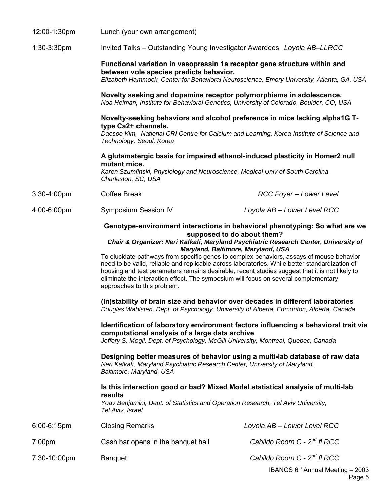| 12:00-1:30pm       | Lunch (your own arrangement)                                                                                                                                                                                                                                                                                                                                                                                                                                                                                                                                                                                                                                                                                                                                                                                                                                                                                                                                                                                                                                                                                                                                                                                                                                                                                                                                                                                                                                               |                                         |  |
|--------------------|----------------------------------------------------------------------------------------------------------------------------------------------------------------------------------------------------------------------------------------------------------------------------------------------------------------------------------------------------------------------------------------------------------------------------------------------------------------------------------------------------------------------------------------------------------------------------------------------------------------------------------------------------------------------------------------------------------------------------------------------------------------------------------------------------------------------------------------------------------------------------------------------------------------------------------------------------------------------------------------------------------------------------------------------------------------------------------------------------------------------------------------------------------------------------------------------------------------------------------------------------------------------------------------------------------------------------------------------------------------------------------------------------------------------------------------------------------------------------|-----------------------------------------|--|
| 1:30-3:30pm        | Invited Talks - Outstanding Young Investigator Awardees Loyola AB-LLRCC                                                                                                                                                                                                                                                                                                                                                                                                                                                                                                                                                                                                                                                                                                                                                                                                                                                                                                                                                                                                                                                                                                                                                                                                                                                                                                                                                                                                    |                                         |  |
|                    | Functional variation in vasopressin 1a receptor gene structure within and<br>between vole species predicts behavior.<br>Elizabeth Hammock, Center for Behavioral Neuroscience, Emory University, Atlanta, GA, USA                                                                                                                                                                                                                                                                                                                                                                                                                                                                                                                                                                                                                                                                                                                                                                                                                                                                                                                                                                                                                                                                                                                                                                                                                                                          |                                         |  |
|                    | Novelty seeking and dopamine receptor polymorphisms in adolescence.<br>Noa Heiman, Institute for Behavioral Genetics, University of Colorado, Boulder, CO, USA                                                                                                                                                                                                                                                                                                                                                                                                                                                                                                                                                                                                                                                                                                                                                                                                                                                                                                                                                                                                                                                                                                                                                                                                                                                                                                             |                                         |  |
|                    | Novelty-seeking behaviors and alcohol preference in mice lacking alpha1G T-<br>type Ca2+ channels.<br>Daesoo Kim, National CRI Centre for Calcium and Learning, Korea Institute of Science and<br>Technology, Seoul, Korea                                                                                                                                                                                                                                                                                                                                                                                                                                                                                                                                                                                                                                                                                                                                                                                                                                                                                                                                                                                                                                                                                                                                                                                                                                                 |                                         |  |
|                    | A glutamatergic basis for impaired ethanol-induced plasticity in Homer2 null                                                                                                                                                                                                                                                                                                                                                                                                                                                                                                                                                                                                                                                                                                                                                                                                                                                                                                                                                                                                                                                                                                                                                                                                                                                                                                                                                                                               |                                         |  |
|                    | mutant mice.<br>Karen Szumlinski, Physiology and Neuroscience, Medical Univ of South Carolina<br>Charleston, SC, USA                                                                                                                                                                                                                                                                                                                                                                                                                                                                                                                                                                                                                                                                                                                                                                                                                                                                                                                                                                                                                                                                                                                                                                                                                                                                                                                                                       |                                         |  |
| 3:30-4:00pm        | <b>Coffee Break</b>                                                                                                                                                                                                                                                                                                                                                                                                                                                                                                                                                                                                                                                                                                                                                                                                                                                                                                                                                                                                                                                                                                                                                                                                                                                                                                                                                                                                                                                        | RCC Foyer - Lower Level                 |  |
| 4:00-6:00pm        | <b>Symposium Session IV</b>                                                                                                                                                                                                                                                                                                                                                                                                                                                                                                                                                                                                                                                                                                                                                                                                                                                                                                                                                                                                                                                                                                                                                                                                                                                                                                                                                                                                                                                | Loyola AB - Lower Level RCC             |  |
|                    | Genotype-environment interactions in behavioral phenotyping: So what are we<br>supposed to do about them?<br>Chair & Organizer: Neri Kafkafi, Maryland Psychiatric Research Center, University of<br>Maryland, Baltimore, Maryland, USA<br>To elucidate pathways from specific genes to complex behaviors, assays of mouse behavior<br>need to be valid, reliable and replicable across laboratories. While better standardization of<br>housing and test parameters remains desirable, recent studies suggest that it is not likely to<br>eliminate the interaction effect. The symposium will focus on several complementary<br>approaches to this problem.<br>(In)stability of brain size and behavior over decades in different laboratories<br>Douglas Wahlsten, Dept. of Psychology, University of Alberta, Edmonton, Alberta, Canada<br>Identification of laboratory environment factors influencing a behavioral trait via<br>computational analysis of a large data archive<br>Jeffery S. Mogil, Dept. of Psychology, McGill University, Montreal, Quebec, Canada<br>Designing better measures of behavior using a multi-lab database of raw data<br>Neri Kafkafi, Maryland Psychiatric Research Center, University of Maryland,<br>Baltimore, Maryland, USA<br>Is this interaction good or bad? Mixed Model statistical analysis of multi-lab<br>results<br>Yoav Benjamini, Dept. of Statistics and Operation Research, Tel Aviv University,<br>Tel Aviv, Israel |                                         |  |
| 6:00-6:15pm        | <b>Closing Remarks</b>                                                                                                                                                                                                                                                                                                                                                                                                                                                                                                                                                                                                                                                                                                                                                                                                                                                                                                                                                                                                                                                                                                                                                                                                                                                                                                                                                                                                                                                     | Loyola AB - Lower Level RCC             |  |
| 7:00 <sub>pm</sub> | Cash bar opens in the banquet hall                                                                                                                                                                                                                                                                                                                                                                                                                                                                                                                                                                                                                                                                                                                                                                                                                                                                                                                                                                                                                                                                                                                                                                                                                                                                                                                                                                                                                                         | Cabildo Room C - 2 <sup>nd</sup> fl RCC |  |
| 7:30-10:00pm       | <b>Banquet</b>                                                                                                                                                                                                                                                                                                                                                                                                                                                                                                                                                                                                                                                                                                                                                                                                                                                                                                                                                                                                                                                                                                                                                                                                                                                                                                                                                                                                                                                             | Cabildo Room C - 2 <sup>nd</sup> fl RCC |  |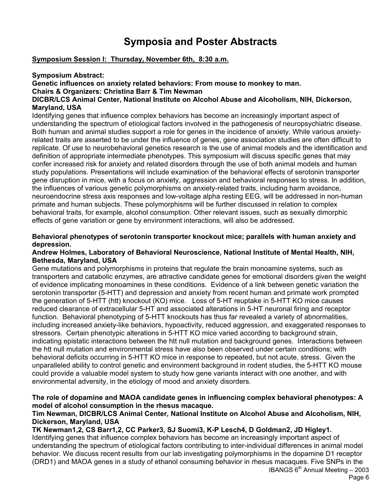# **Symposia and Poster Abstracts**

#### **Symposium Session I: Thursday, November 6th, 8:30 a.m.**

#### **Symposium Abstract:**

#### **Genetic influences on anxiety related behaviors: From mouse to monkey to man.**

**Chairs & Organizers: Christina Barr & Tim Newman** 

#### **DICBR/LCS Animal Center, National Institute on Alcohol Abuse and Alcoholism, NIH, Dickerson, Maryland, USA**

Identifying genes that influence complex behaviors has become an increasingly important aspect of understanding the spectrum of etiological factors involved in the pathogenesis of neuropsychiatric disease. Both human and animal studies support a role for genes in the incidence of anxiety. While various anxietyrelated traits are asserted to be under the influence of genes, gene association studies are often difficult to replicate. Of use to neurobehavioral genetics research is the use of animal models and the identification and definition of appropriate intermediate phenotypes. This symposium will discuss specific genes that may confer increased risk for anxiety and related disorders through the use of both animal models and human study populations. Presentations will include examination of the behavioral effects of serotonin transporter gene disruption in mice, with a focus on anxiety, aggression and behavioral responses to stress. In addition, the influences of various genetic polymorphisms on anxiety-related traits, including harm avoidance, neuroendocrine stress axis responses and low-voltage alpha resting EEG, will be addressed in non-human primate and human subjects. These polymorphisms will be further discussed in relation to complex behavioral traits, for example, alcohol consumption. Other relevant issues, such as sexually dimorphic effects of gene variation or gene by environment interactions, will also be addressed.

#### **Behavioral phenotypes of serotonin transporter knockout mice; parallels with human anxiety and depression.**

#### **Andrew Holmes, Laboratory of Behavioral Neuroscience, National Institute of Mental Health, NIH, Bethesda, Maryland, USA**

Gene mutations and polymorphisms in proteins that regulate the brain monoamine systems, such as transporters and catabolic enzymes, are attractive candidate genes for emotional disorders given the weight of evidence implicating monoamines in these conditions. Evidence of a link between genetic variation the serotonin transporter (5-HTT) and depression and anxiety from recent human and primate work prompted the generation of 5-HTT (htt) knockout (KO) mice. Loss of 5-HT reuptake in 5-HTT KO mice causes reduced clearance of extracellular 5-HT and associated alterations in 5-HT neuronal firing and receptor function. Behavioral phenotyping of 5-HTT knockouts has thus far revealed a variety of abnormalities, including increased anxiety-like behaviors, hypoactivity, reduced aggression, and exaggerated responses to stressors. Certain phenotypic alterations in 5-HTT KO mice varied according to background strain, indicating epistatic interactions between the htt null mutation and background genes. Interactions between the htt null mutation and environmental stress have also been observed under certain conditions; with behavioral deficits occurring in 5-HTT KO mice in response to repeated, but not acute, stress. Given the unparalleled ability to control genetic and environment background in rodent studies, the 5-HTT KO mouse could provide a valuable model system to study how gene variants interact with one another, and with environmental adversity, in the etiology of mood and anxiety disorders.

#### **The role of dopamine and MAOA candidate genes in influencing complex behavioral phenotypes: A model of alcohol consumption in the rhesus macaque.**

#### **Tim Newman, DICBR/LCS Animal Center, National Institute on Alcohol Abuse and Alcoholism, NIH, Dickerson, Maryland, USA**

#### **TK Newman1,2, CS Barr1,2, CC Parker3, SJ Suomi3, K-P Lesch4, D Goldman2, JD Higley1.**

Identifying genes that influence complex behaviors has become an increasingly important aspect of understanding the spectrum of etiological factors contributing to inter-individual differences in animal model behavior. We discuss recent results from our lab investigating polymorphisms in the dopamine D1 receptor (DRD1) and MAOA genes in a study of ethanol consuming behavior in rhesus macaques. Five SNPs in the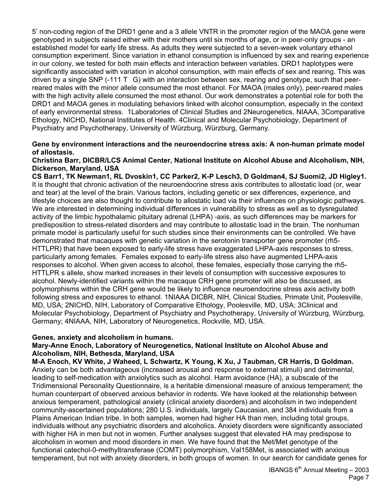5' non-coding region of the DRD1 gene and a 3 allele VNTR in the promoter region of the MAOA gene were genotyped in subjects raised either with their mothers until six months of age, or in peer-only groups - an established model for early life stress. As adults they were subjected to a seven-week voluntary ethanol consumption experiment. Since variation in ethanol consumption is influenced by sex and rearing experience in our colony, we tested for both main effects and interaction between variables. DRD1 haplotypes were significantly associated with variation in alcohol consumption, with main effects of sex and rearing. This was driven by a single SNP  $(-111 \text{ T} \text{ G})$  with an interaction between sex, rearing and genotype, such that peerreared males with the minor allele consumed the most ethanol. For MAOA (males only), peer-reared males with the high activity allele consumed the most ethanol. Our work demonstrates a potential role for both the DRD1 and MAOA genes in modulating behaviors linked with alcohol consumption, especially in the context of early environmental stress. 1Laboratories of Clinical Studies and 2Neurogenetics, NIAAA, 3Comparative Ethology, NICHD, National Institutes of Health. 4Clinical and Molecular Psychobiology, Department of Psychiatry and Psychotherapy, University of Würzburg, Würzburg, Germany.

#### **Gene by environment interactions and the neuroendocrine stress axis: A non-human primate model of allostasis.**

#### **Christina Barr, DICBR/LCS Animal Center, National Institute on Alcohol Abuse and Alcoholism, NIH, Dickerson, Maryland, USA**

**CS Barr1, TK Newman1, RL Dvoskin1, CC Parker2, K-P Lesch3, D Goldman4, SJ Suomi2, JD Higley1.** It is thought that chronic activation of the neuroendocrine stress axis contributes to allostatic load (or, wear and tear) at the level of the brain. Various factors, including genetic or sex differences, experience, and lifestyle choices are also thought to contribute to allostatic load via their influences on physiologic pathways. We are interested in determining individual differences in vulnerability to stress as well as to dysregulated activity of the limbic hypothalamic pituitary adrenal (LHPA) -axis, as such differences may be markers for predisposition to stress-related disorders and may contribute to allostatic load in the brain. The nonhuman primate model is particularly useful for such studies since their environments can be controlled. We have demonstrated that macaques with genetic variation in the serotonin transporter gene promoter (rh5- HTTLPR) that have been exposed to early-life stress have exaggerated LHPA-axis responses to stress, particularly among females. Females exposed to early-life stress also have augmented LHPA-axis responses to alcohol. When given access to alcohol, these females, especially those carrying the rh5- HTTLPR s allele, show marked increases in their levels of consumption with successive exposures to alcohol. Newly-identified variants within the macaque CRH gene promoter will also be discussed, as polymorphisms within the CRH gene would be likely to influence neuroendocrine stress axis activity both following stress and exposures to ethanol. 1NIAAA DICBR, NIH, Clinical Studies, Primate Unit, Poolesville, MD, USA; 2NICHD, NIH, Laboratory of Comparative Ethology, Poolesville, MD, USA; 3Clinical and Molecular Psychobiology, Department of Psychiatry and Psychotherapy, University of Würzburg, Würzburg, Germany; 4NIAAA, NIH, Laboratory of Neurogenetics, Rockville, MD, USA.

#### **Genes, anxiety and alcoholism in humans.**

#### **Mary-Anne Enoch, Laboratory of Neurogenetics, National Institute on Alcohol Abuse and Alcoholism, NIH, Bethesda, Maryland, USA**

**M-A Enoch, KV White, J Waheed, L Schwartz, K Young, K Xu, J Taubman, CR Harris, D Goldman.**  Anxiety can be both advantageous (increased arousal and response to external stimuli) and detrimental, leading to self-medication with anxiolytics such as alcohol. Harm avoidance (HA), a subscale of the Tridimensional Personality Questionnaire, is a heritable dimensional measure of anxious temperament; the human counterpart of observed anxious behavior in rodents. We have looked at the relationship between anxious temperament, pathological anxiety (clinical anxiety disorders) and alcoholism in two independent community-ascertained populations; 280 U.S. individuals, largely Caucasian, and 384 individuals from a Plains American Indian tribe. In both samples, women had higher HA than men, including total groups, individuals without any psychiatric disorders and alcoholics. Anxiety disorders were significantly associated with higher HA in men but not in women. Further analyses suggest that elevated HA may predispose to alcoholism in women and mood disorders in men. We have found that the Met/Met genotype of the functional catechol-0-methyltransferase (COMT) polymorphism, Val158Met, is associated with anxious temperament, but not with anxiety disorders, in both groups of women. In our search for candidate genes for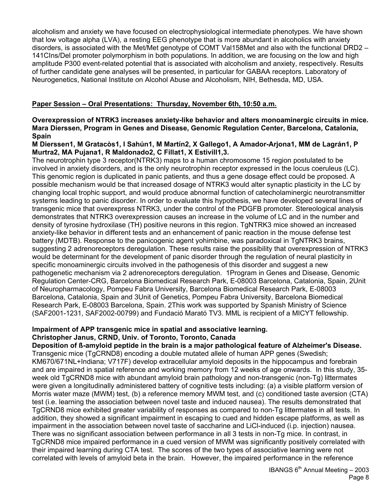alcoholism and anxiety we have focused on electrophysiological intermediate phenotypes. We have shown that low voltage alpha (LVA), a resting EEG phenotype that is more abundant in alcoholics with anxiety disorders, is associated with the Met/Met genotype of COMT Val158Met and also with the functional DRD2 – 141CIns/Del promoter polymorphism in both populations. In addition, we are focusing on the low and high amplitude P300 event-related potential that is associated with alcoholism and anxiety, respectively. Results of further candidate gene analyses will be presented, in particular for GABAA receptors. Laboratory of Neurogenetics, National Institute on Alcohol Abuse and Alcoholism, NIH, Bethesda, MD, USA.

#### **Paper Session – Oral Presentations: Thursday, November 6th, 10:50 a.m.**

#### **Overexpression of NTRK3 increases anxiety-like behavior and alters monoaminergic circuits in mice. Mara Dierssen, Program in Genes and Disease, Genomic Regulation Center, Barcelona, Catalonia, Spain**

#### **M Dierssen1, M Gratacòs1, I Sahún1, M Martín2, X Gallego1, A Amador-Arjona1, MM de Lagrán1, P Murtra2, MA Pujana1, R Maldonado2, C Fillat1, X Estivill1,3.**

The neurotrophin type 3 receptor(NTRK3) maps to a human chromosome 15 region postulated to be involved in anxiety disorders, and is the only neurotrophin receptor expressed in the locus coeruleus (LC). This genomic region is duplicated in panic patients, and thus a gene dosage effect could be proposed. A possible mechanism would be that increased dosage of NTRK3 would alter synaptic plasticity in the LC by changing local trophic support, and would produce abnormal function of catecholaminergic neurotransmitter systems leading to panic disorder. In order to evaluate this hypothesis, we have developed several lines of transgenic mice that overexpress NTRK3, under the control of the PDGFB promoter. Stereological analysis demonstrates that NTRK3 overexpression causes an increase in the volume of LC and in the number and density of tyrosine hydroxilase (TH) positive neurons in this region. TgNTRK3 mice showed an increased anxiety-like behavior in different tests and an enhancement of panic reaction in the mouse defense test battery (MDTB). Response to the panicogenic agent yohimbine, was paradoxical in TgNTRK3 brains, suggesting 2 adrenoreceptors deregulation. These results raise the possibility that overexpression of NTRK3 would be determinant for the development of panic disorder through the regulation of neural plasticity in specific monoaminergic circuits involved in the pathogenesis of this disorder and suggest a new pathogenetic mechanism via 2 adrenoreceptors deregulation. 1Program in Genes and Disease, Genomic Regulation Center-CRG, Barcelona Biomedical Research Park, E-08003 Barcelona, Catalonia, Spain, 2Unit of Neuropharmacology, Pompeu Fabra University, Barcelona Biomedical Research Park, E-08003 Barcelona, Catalonia, Spain and 3Unit of Genetics, Pompeu Fabra University, Barcelona Biomedical Research Park, E-08003 Barcelona, Spain. 2This work was supported by Spanish Ministry of Science (SAF2001-1231, SAF2002-00799) and Fundació Marató TV3. MML is recipient of a MICYT fellowship.

# **Impairment of APP transgenic mice in spatial and associative learning. Christopher Janus, CRND, Univ. of Toronto, Toronto, Canada**

**Deposition of ß-amyloid peptide in the brain is a major pathological feature of Alzheimer's Disease.** Transgenic mice (TgCRND8) encoding a double mutated allele of human APP genes (Swedish; KM670/671NL+Indiana; V717F) develop extracellular amyloid deposits in the hippocampus and forebrain and are impaired in spatial reference and working memory from 12 weeks of age onwards. In this study, 35 week old TgCRND8 mice with abundant amyloid brain pathology and non-transgenic (non-Tg) littermates were given a longitudinally administered battery of cognitive tests including: (a) a visible platform version of Morris water maze (MWM) test, (b) a reference memory MWM test, and (c) conditioned taste aversion (CTA) test (i.e. learning the association between novel taste and induced nausea). The results demonstrated that TgCRND8 mice exhibited greater variability of responses as compared to non-Tg littermates in all tests. In addition, they showed a significant impairment in escaping to cued and hidden escape platforms, as well as impairment in the association between novel taste of saccharine and LiCl-induced (i.p. injection) nausea. There was no significant association between performance in all 3 tests in non-Tg mice. In contrast, in TgCRND8 mice impaired performance in a cued version of MWM was significantly positively correlated with their impaired learning during CTA test. The scores of the two types of associative learning were not correlated with levels of amyloid beta in the brain. However, the impaired performance in the reference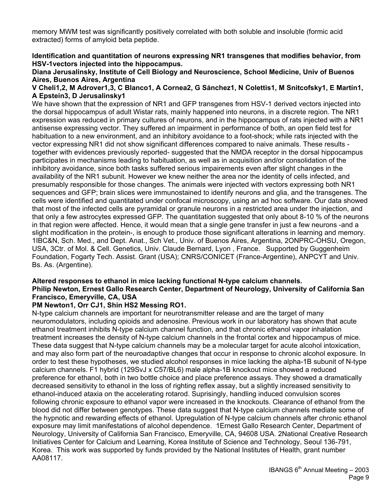memory MWM test was significantly positively correlated with both soluble and insoluble (formic acid extracted) forms of amyloid beta peptide.

**Identification and quantitation of neurons expressing NR1 transgenes that modifies behavior, from HSV-1vectors injected into the hippocampus.** 

**Diana Jerusalinsky, Institute of Cell Biology and Neuroscience, School Medicine, Univ of Buenos Aires, Buenos Aires, Argentina** 

#### **V Cheli1,2, M Adrover1,3, C Blanco1, A Cornea2, G Sánchez1, N Colettis1, M Snitcofsky1, E Martín1, A Epstein3, D Jerusalinsky1**

We have shown that the expression of NR1 and GFP transgenes from HSV-1 derived vectors injected into the dorsal hippocampus of adult Wistar rats, mainly happened into neurons, in a discrete region. The NR1 expression was reduced in primary cultures of neurons, and in the hippocampus of rats injected with a NR1 antisense expressing vector. They suffered an impairment in performance of both, an open field test for habituation to a new environment, and an inhibitory avoidance to a foot-shock; while rats injected with the vector expressing NR1 did not show significant differences compared to naive animals. These results together with evidences previously reported- suggested that the NMDA receptor in the dorsal hippocampus participates in mechanisms leading to habituation, as well as in acquisition and/or consolidation of the inhibitory avoidance, since both tasks suffered serious impairements even after slight changes in the availability of the NR1 subunit. However we knew neither the area nor the identity of cells infected, and presumably responsible for those changes. The animals were injected with vectors expressing both NR1 sequences and GFP; brain slices were immunostained to identify neurons and glia, and the transgenes. The cells were identified and quantitated under confocal microscopy, using an ad hoc software. Our data showed that most of the infected cells are pyramidal or granule neurons in a restricted area under the injection, and that only a few astrocytes expressed GFP. The quantitation suggested that only about 8-10 % of the neurons in that region were affected. Hence, it would mean that a single gene transfer in just a few neurons -and a slight modification in the protein-, is enough to produce those significant alterations in learning and memory. 1IBC&N, Sch. Med., and Dept. Anat., Sch Vet., Univ. of Buenos Aires, Argentina, 2ONPRC-OHSU, Oregon, USA, 3Ctr. of Mol. & Cell. Genetics, Univ. Claude Bernard, Lyon , France. Supported by Guggenheim Foundation, Fogarty Tech. Assist. Grant (USA); CNRS/CONICET (France-Argentine), ANPCYT and Univ. Bs. As. (Argentine).

#### **Altered responses to ethanol in mice lacking functional N-type calcium channels. Philip Newton, Ernest Gallo Research Center, Department of Neurology, University of California San Francisco, Emeryville, CA, USA**

# **PM Newton1, Orr CJ1, Shin HS2 Messing RO1.**

N-type calcium channels are important for neurotransmitter release and are the target of many neuromodulators, including opioids and adenosine. Previous work in our laboratory has shown that acute ethanol treatment inhibits N-type calcium channel function, and that chronic ethanol vapor inhalation treatment increases the density of N-type calcium channels in the frontal cortex and hippocampus of mice. These data suggest that N-type calcium channels may be a molecular target for acute alcohol intoxication, and may also form part of the neuroadaptive changes that occur in response to chronic alcohol exposure. In order to test these hypotheses, we studied alcohol responses in mice lacking the alpha-1B subunit of N-type calcium channels. F1 hybrid (129SvJ x C57/BL6) male alpha-1B knockout mice showed a reduced preference for ethanol, both in two bottle choice and place preference assays. They showed a dramatically decreased sensitivity to ethanol in the loss of righting reflex assay, but a slightly increased sensitivity to ethanol-induced ataxia on the accelerating rotarod. Suprisingly, handling induced convulsion scores following chronic exposure to ethanol vapor were increased in the knockouts. Clearance of ethanol from the blood did not differ between genotypes. These data suggest that N-type calcium channels mediate some of the hypnotic and rewarding effects of ethanol. Upregulation of N-type calcium channels after chronic ethanol exposure may limit manifestations of alcohol dependence. 1Ernest Gallo Research Center, Department of Neurology, University of California San Francisco, Emeryville, CA, 94608 USA. 2National Creative Research Initiatives Center for Calcium and Learning, Korea Institute of Science and Technology, Seoul 136-791, Korea. This work was supported by funds provided by the National Institutes of Health, grant number AA08117.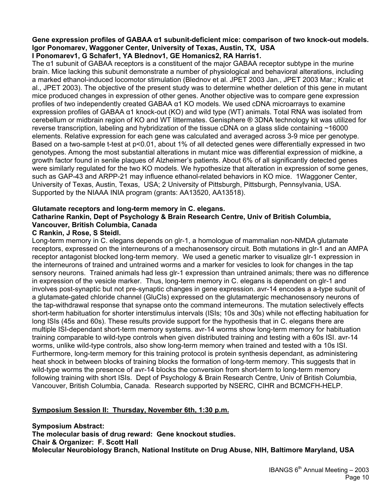#### **Gene expression profiles of GABAA α1 subunit-deficient mice: comparison of two knock-out models. Igor Ponomarev, Waggoner Center, University of Texas, Austin, TX, USA I Ponomarev1, G Schafer1, YA Blednov1, GE Homanics2, RA Harris1.**

The α1 subunit of GABAA receptors is a constituent of the major GABAA receptor subtype in the murine brain. Mice lacking this subunit demonstrate a number of physiological and behavioral alterations, including a marked ethanol-induced locomotor stimulation (Blednov et al. JPET 2003 Jan., JPET 2003 Mar.; Kralic et al., JPET 2003). The objective of the present study was to determine whether deletion of this gene in mutant mice produced changes in expression of other genes. Another objective was to compare gene expression profiles of two independently created GABAA α1 KO models. We used cDNA microarrays to examine expression profiles of GABAA α1 knock-out (KO) and wild type (WT) animals. Total RNA was isolated from cerebellum or midbrain region of KO and WT littermates. Genisphere ® 3DNA technology kit was utilized for reverse transcription, labeling and hybridization of the tissue cDNA on a glass slide containing ~16000 elements. Relative expression for each gene was calculated and averaged across 3-9 mice per genotype. Based on a two-sample t-test at p<0.01, about 1% of all detected genes were differentially expressed in two genotypes. Among the most substantial alterations in mutant mice was differential expression of midkine, a growth factor found in senile plaques of Alzheimer's patients. About 6% of all significantly detected genes were similarly regulated for the two KO models. We hypothesize that alteration in expression of some genes, such as GAP-43 and ARPP-21 may influence ethanol-related behaviors in KO mice. 1Waggoner Center, University of Texas, Austin, Texas, USA; 2 University of Pittsburgh, Pittsburgh, Pennsylvania, USA. Supported by the NIAAA INIA program (grants: AA13520, AA13518).

# **Glutamate receptors and long-term memory in C. elegans. Catharine Rankin, Dept of Psychology & Brain Research Centre, Univ of British Columbia, Vancouver, British Columbia, Canada**

# **C Rankin, J Rose, S Steidl.**

Long-term memory in C. elegans depends on glr-1, a homologue of mammalian non-NMDA glutamate receptors, expressed on the interneurons of a mechanosensory circuit. Both mutations in glr-1 and an AMPA receptor antagonist blocked long-term memory. We used a genetic marker to visualize glr-1 expression in the interneurons of trained and untrained worms and a marker for vesicles to look for changes in the tap sensory neurons. Trained animals had less glr-1 expression than untrained animals; there was no difference in expression of the vesicle marker. Thus, long-term memory in C. elegans is dependent on glr-1 and involves post-synaptic but not pre-synaptic changes in gene expression. avr-14 encodes a a-type subunit of a glutamate-gated chloride channel (GluCls) expressed on the glutamatergic mechanosensory neurons of the tap-withdrawal response that synapse onto the command interneurons. The mutation selectively effects short-term habituation for shorter interstimulus intervals (ISIs; 10s and 30s) while not effecting habituation for long ISIs (45s and 60s). These results provide support for the hypothesis that in C. elegans there are multiple ISI-dependant short-term memory systems. avr-14 worms show long-term memory for habituation training comparable to wild-type controls when given distributed training and testing with a 60s ISI. avr-14 worms, unlike wild-type controls, also show long-term memory when trained and tested with a 10s ISI. Furthermore, long-term memory for this training protocol is protein synthesis dependant, as administering heat shock in between blocks of training blocks the formation of long-term memory. This suggests that in wild-type worms the presence of avr-14 blocks the conversion from short-term to long-term memory following training with short ISIs. Dept of Psychology & Brain Research Centre, Univ of British Columbia, Vancouver, British Columbia, Canada. Research supported by NSERC, CIHR and BCMCFH-HELP.

# **Symposium Session II: Thursday, November 6th, 1:30 p.m.**

**Symposium Abstract: The molecular basis of drug reward: Gene knockout studies. Chair & Organizer: F. Scott Hall Molecular Neurobiology Branch, National Institute on Drug Abuse, NIH, Baltimore Maryland, USA**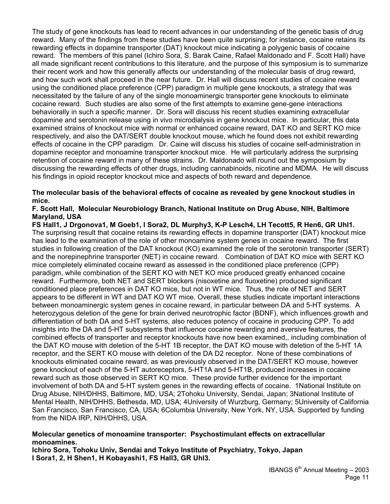The study of gene knockouts has lead to recent advances in our understanding of the genetic basis of drug reward. Many of the findings from these studies have been quite surprising; for instance, cocaine retains its rewarding effects in dopamine transporter (DAT) knockout mice indicating a polygenic basis of cocaine reward. The members of this panel (Ichiro Sora, S. Barak Caine, Rafael Maldonado and F. Scott Hall) have all made significant recent contributions to this literature, and the purpose of this symposium is to summarize their recent work and how this generally affects our understanding of the molecular basis of drug reward, and how such work shall proceed in the near future. Dr. Hall will discuss recent studies of cocaine reward using the conditioned place preference (CPP) paradigm in multiple gene knockouts, a strategy that was necessitated by the failure of any of the single monoaminergic transporter gene knockouts to eliminate cocaine reward. Such studies are also some of the first attempts to examine gene-gene interactions behaviorally in such a specific manner. Dr. Sora will discuss his recent studies examining extracellular dopamine and serotonin release using in vivo microdialysis in gene knockout mice. In particular, this data examined strains of knockout mice with normal or enhanced cocaine reward, DAT KO and SERT KO mice respectively, and also the DAT/SERT double knockout mouse, which he found does not exhibit rewarding effects of cocaine in the CPP paradigm. Dr. Caine will discuss his studies of cocaine self-administration in dopamine receptor and monoamine transporter knockout mice. He will particularly address the surprising retention of cocaine reward in many of these strains. Dr. Maldonado will round out the symposium by discussing the rewarding effects of other drugs, including cannabinoids, nicotine and MDMA. He will discuss his findings in opioid receptor knockout mice and aspects of both reward and dependence.

#### **The molecular basis of the behavioral effects of cocaine as revealed by gene knockout studies in mice.**

#### **F. Scott Hall, Molecular Neurobiology Branch, National Institute on Drug Abuse, NIH, Baltimore Maryland, USA**

**FS Hall1, J Drgonova1, M Goeb1, I Sora2, DL Murphy3, K-P Lesch4, LH Tecott5, R Hen6, GR Uhl1.**  The surprising result that cocaine retains its rewarding effects in dopamine transporter (DAT) knockout mice has lead to the examination of the role of other monoamine system genes in cocaine reward. The first studies in following creation of the DAT knockout (KO) examined the role of the serotonin transporter (SERT) and the norepinephrine transporter (NET) in cocaine reward. Combination of DAT KO mice with SERT KO mice completely eliminated cocaine reward as assessed in the conditioned place preference (CPP) paradigm, while combination of the SERT KO with NET KO mice produced greatly enhanced cocaine reward. Furthermore, both NET and SERT blockers (nisoxetine and fluoxetine) produced significant conditioned place preferences in DAT KO mice, but not in WT mice. Thus, the role of NET and SERT appears to be different in WT and DAT KO WT mice. Overall, these studies indicate important interactions between monoaminergic system genes in cocaine reward, in particular between DA and 5-HT systems. A heterozygous deletion of the gene for brain derived neurotrophic factor (BDNF), which influences growth and differentiation of both DA and 5-HT systems, also reduces potency of cocaine in producing CPP. To add insights into the DA and 5-HT subsystems that influence cocaine rewarding and aversive features, the combined effects of transporter and receptor knockouts have now been examined,, including combination of the DAT KO mouse with deletion of the 5-HT 1B receptor, the DAT KO mouse with deletion of the 5-HT 1A receptor, and the SERT KO mouse with deletion of the DA D2 receptor. None of these combinations of knockouts eliminated cocaine reward, as was previously observed in the DAT/SERT KO mouse, however gene knockout of each of the 5-HT autoreceptors, 5-HT1A and 5-HT1B, produced increases in cocaine reward such as those observed in SERT KO mice. These provide further evidence for the important involvement of both DA and 5-HT system genes in the rewarding effects of cocaine. 1National Institute on Drug Abuse, NIH/DHHS, Baltimore, MD, USA; 2Tohoku University, Sendai, Japan; 3National Institute of Mental Health, NIH/DHHS, Bethesda, MD, USA; 4University of Wurzburg, Germany; 5University of California San Francisco, San Francisco, CA, USA; 6Columbia University, New York, NY, USA. Supported by funding from the NIDA IRP, NIH/DHHS, USA.

#### **Molecular genetics of monoamine transporter: Psychostimulant effects on extracellular monoamines.**

**Ichiro Sora, Tohoku Univ, Sendai and Tokyo Institute of Psychiatry, Tokyo, Japan I Sora1, 2, H Shen1, H Kobayashi1, FS Hall3, GR Uhl3.**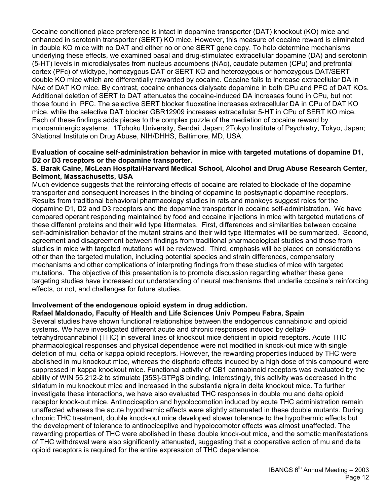Cocaine conditioned place preference is intact in dopamine transporter (DAT) knockout (KO) mice and enhanced in serotonin transporter (SERT) KO mice. However, this measure of cocaine reward is eliminated in double KO mice with no DAT and either no or one SERT gene copy. To help determine mechanisms underlying these effects, we examined basal and drug-stimulated extracellular dopamine (DA) and serotonin (5-HT) levels in microdialysates from nucleus accumbens (NAc), caudate putamen (CPu) and prefrontal cortex (PFc) of wildtype, homozygous DAT or SERT KO and heterozygous or homozygous DAT/SERT double KO mice which are differentially rewarded by cocaine. Cocaine fails to increase extracellular DA in NAc of DAT KO mice. By contrast, cocaine enhances dialysate dopamine in both CPu and PFC of DAT KOs. Additional deletion of SERT to DAT attenuates the cocaine-induced DA increases found in CPu, but not those found in PFC. The selective SERT blocker fluoxetine increases extracellular DA in CPu of DAT KO mice, while the selective DAT blocker GBR12909 increases extracellular 5-HT in CPu of SERT KO mice. Each of these findings adds pieces to the complex puzzle of the mediation of cocaine reward by monoaminergic systems. 1Tohoku University, Sendai, Japan; 2Tokyo Institute of Psychiatry, Tokyo, Japan; 3National Institute on Drug Abuse, NIH/DHHS, Baltimore, MD, USA.

#### **Evaluation of cocaine self-administration behavior in mice with targeted mutations of dopamine D1, D2 or D3 receptors or the dopamine transporter.**

#### **S. Barak Caine, McLean Hospital/Harvard Medical School, Alcohol and Drug Abuse Research Center, Belmont, Massachusetts, USA**

Much evidence suggests that the reinforcing effects of cocaine are related to blockade of the dopamine transporter and consequent increases in the binding of dopamine to postsynaptic dopamine receptors. Results from traditional behavioral pharmacology studies in rats and monkeys suggest roles for the dopamine D1, D2 and D3 receptors and the dopamine transporter in cocaine self-administration. We have compared operant responding maintained by food and cocaine injections in mice with targeted mutations of these different proteins and their wild type littermates. First, differences and similarities between cocaine self-administration behavior of the mutant strains and their wild type littermates will be summarized. Second, agreement and disagreement between findings from traditional pharmacological studies and those from studies in mice with targeted mutations will be reviewed. Third, emphasis will be placed on considerations other than the targeted mutation, including potential species and strain differences, compensatory mechanisms and other complications of interpreting findings from these studies of mice with targeted mutations. The objective of this presentation is to promote discussion regarding whether these gene targeting studies have increased our understanding of neural mechanisms that underlie cocaine's reinforcing effects, or not, and challenges for future studies.

#### **Involvement of the endogenous opioid system in drug addiction.**

#### **Rafael Maldonado, Faculty of Health and Life Sciences Univ Pompeu Fabra, Spain**

Several studies have shown functional relationships between the endogenous cannabinoid and opioid systems. We have investigated different acute and chronic responses induced by delta9 tetrahydrocannabinol (THC) in several lines of knockout mice deficient in opioid receptors. Acute THC pharmacological responses and physical dependence were not modified in knock-out mice with single deletion of mu, delta or kappa opioid receptors. However, the rewarding properties induced by THC were abolished in mu knockout mice, whereas the disphoric effects induced by a high dose of this compound were suppressed in kappa knockout mice. Functional activity of CB1 cannabinoid receptors was evaluated by the ability of WIN 55,212-2 to stimulate [35S]-GTPgS binding. Interestingly, this activity was decreased in the striatum in mu knockout mice and increased in the substantia nigra in delta knockout mice. To further investigate these interactions, we have also evaluated THC responses in double mu and delta opioid receptor knock-out mice. Antinociception and hypolocomotion induced by acute THC administration remain unaffected whereas the acute hypothermic effects were slightly attenuated in these double mutants. During chronic THC treatment, double knock-out mice developed slower tolerance to the hypothermic effects but the development of tolerance to antinociceptive and hypolocomotor effects was almost unaffected. The rewarding properties of THC were abolished in these double knock-out mice, and the somatic manifestations of THC withdrawal were also significantly attenuated, suggesting that a cooperative action of mu and delta opioid receptors is required for the entire expression of THC dependence.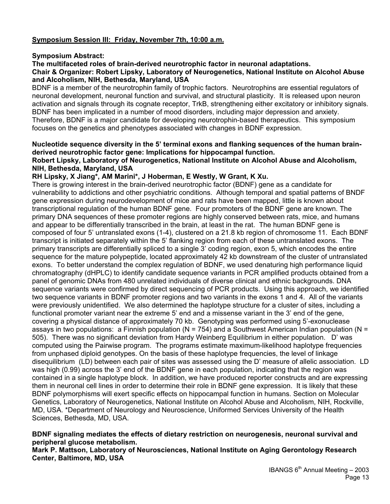# **Symposium Session III: Friday, November 7th, 10:00 a.m.**

#### **Symposium Abstract:**

#### **The multifaceted roles of brain-derived neurotrophic factor in neuronal adaptations.**

#### **Chair & Organizer: Robert Lipsky, Laboratory of Neurogenetics, National Institute on Alcohol Abuse and Alcoholism, NIH, Bethesda, Maryland, USA**

BDNF is a member of the neurotrophin family of trophic factors. Neurotrophins are essential regulators of neuronal development, neuronal function and survival, and structural plasticity. It is released upon neuron activation and signals through its cognate receptor, TrkB, strengthening either excitatory or inhibitory signals. BDNF has been implicated in a number of mood disorders, including major depression and anxiety. Therefore, BDNF is a major candidate for developing neurotrophin-based therapeutics. This symposium focuses on the genetics and phenotypes associated with changes in BDNF expression.

#### **Nucleotide sequence diversity in the 5' terminal exons and flanking sequences of the human brainderived neurotrophic factor gene: Implications for hippocampal function.**

#### **Robert Lipsky, Laboratory of Neurogenetics, National Institute on Alcohol Abuse and Alcoholism, NIH, Bethesda, Maryland, USA**

#### **RH Lipsky, X Jiang\*, AM Marini\*, J Hoberman, E Westly, W Grant, K Xu.**

There is growing interest in the brain-derived neurotrophic factor (BDNF) gene as a candidate for vulnerability to addictions and other psychiatric conditions. Although temporal and spatial patterns of BNDF gene expression during neurodevelopment of mice and rats have been mapped, little is known about transcriptional regulation of the human BDNF gene. Four promoters of the BDNF gene are known. The primary DNA sequences of these promoter regions are highly conserved between rats, mice, and humans and appear to be differentially transcribed in the brain, at least in the rat. The human BDNF gene is composed of four 5' untranslated exons (1-4), clustered on a 21.8 kb region of chromosome 11. Each BDNF transcript is initiated separately within the 5' flanking region from each of these untranslated exons. The primary transcripts are differentially spliced to a single 3' coding region, exon 5, which encodes the entire sequence for the mature polypeptide, located approximately 42 kb downstream of the cluster of untranslated exons. To better understand the complex regulation of BDNF, we used denaturing high performance liquid chromatography (dHPLC) to identify candidate sequence variants in PCR amplified products obtained from a panel of genomic DNAs from 480 unrelated individuals of diverse clinical and ethnic backgrounds. DNA sequence variants were confirmed by direct sequencing of PCR products. Using this approach, we identified two sequence variants in BDNF promoter regions and two variants in the exons 1 and 4. All of the variants were previously unidentified. We also determined the haplotype structure for a cluster of sites, including a functional promoter variant near the extreme 5' end and a missense variant in the 3' end of the gene, covering a physical distance of approximately 70 kb. Genotyping was performed using 5'-exonuclease assays in two populations: a Finnish population ( $N = 754$ ) and a Southwest American Indian population ( $N =$ 505). There was no significant deviation from Hardy Weinberg Equilibrium in either population. D' was computed using the Pairwise program. The programs estimate maximum-likelihood haplotype frequencies from unphased diploid genotypes. On the basis of these haplotype frequencies, the level of linkage disequilibrium (LD) between each pair of sites was assessed using the D' measure of allelic association. LD was high (0.99) across the 3' end of the BDNF gene in each population, indicating that the region was contained in a single haplotype block. In addition, we have produced reporter constructs and are expressing them in neuronal cell lines in order to determine their role in BDNF gene expression. It is likely that these BDNF polymorphisms will exert specific effects on hippocampal function in humans. Section on Molecular Genetics, Laboratory of Neurogenetics, National Institute on Alcohol Abuse and Alcoholism, NIH, Rockville, MD, USA. \*Department of Neurology and Neuroscience, Uniformed Services University of the Health Sciences, Bethesda, MD, USA.

#### **BDNF signaling mediates the effects of dietary restriction on neurogenesis, neuronal survival and peripheral glucose metabolism.**

**Mark P. Mattson, Laboratory of Neurosciences, National Institute on Aging Gerontology Research Center, Baltimore, MD, USA**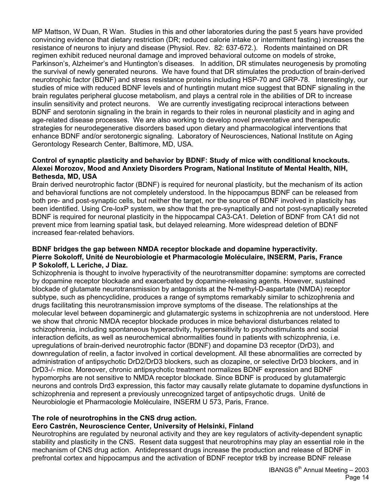MP Mattson, W Duan, R Wan. Studies in this and other laboratories during the past 5 years have provided convincing evidence that dietary restriction (DR; reduced calorie intake or intermittent fasting) increases the resistance of neurons to injury and disease (Physiol. Rev. 82: 637-672.). Rodents maintained on DR regimen exhibit reduced neuronal damage and improved behavioral outcome on models of stroke, Parkinson's, Alzheimer's and Huntington's diseases. In addition, DR stimulates neurogenesis by promoting the survival of newly generated neurons. We have found that DR stimulates the production of brain-derived neurotrophic factor (BDNF) and stress resistance proteins including HSP-70 and GRP-78. Interestingly, our studies of mice with reduced BDNF levels and of huntingtin mutant mice suggest that BDNF signaling in the brain regulates peripheral glucose metabolism, and plays a central role in the abilities of DR to increase insulin sensitivity and protect neurons. We are currently investigating reciprocal interactions between BDNF and serotonin signaling in the brain in regards to their roles in neuronal plasticity and in aging and age-related disease processes. We are also working to develop novel preventative and therapeutic strategies for neurodegenerative disorders based upon dietary and pharmacological interventions that enhance BDNF and/or serotonergic signaling. Laboratory of Neurosciences, National Institute on Aging Gerontology Research Center, Baltimore, MD, USA.

#### **Control of synaptic plasticity and behavior by BDNF: Study of mice with conditional knockouts. Alexei Morozov, Mood and Anxiety Disorders Program, National Institute of Mental Health, NIH, Bethesda, MD, USA**

Brain derived neurotrophic factor (BDNF) is required for neuronal plasticity, but the mechanism of its action and behavioral functions are not completely understood. In the hippocampus BDNF can be released from both pre- and post-synaptic cells, but neither the target, nor the source of BDNF involved in plasticity has been identified. Using Cre-loxP system, we show that the pre-synaptically and not post-synaptically secreted BDNF is required for neuronal plasticity in the hippocampal CA3-CA1. Deletion of BDNF from CA1 did not prevent mice from learning spatial task, but delayed relearning. More widespread deletion of BDNF increased fear-related behaviors.

#### **BDNF bridges the gap between NMDA receptor blockade and dopamine hyperactivity. Pierre Sokoloff, Unité de Neurobiologie et Pharmacologie Moléculaire, INSERM, Paris, France P Sokoloff, L Leriche, J Diaz.**

Schizophrenia is thought to involve hyperactivity of the neurotransmitter dopamine: symptoms are corrected by dopamine receptor blockade and exacerbated by dopamine-releasing agents. However, sustained blockade of glutamate neurotransmission by antagonists at the N-methyl-D-aspartate (NMDA) receptor subtype, such as phencyclidine, produces a range of symptoms remarkably similar to schizophrenia and drugs facilitating this neurotransmission improve symptoms of the disease. The relationships at the molecular level between dopaminergic and glutamatergic systems in schizophrenia are not understood. Here we show that chronic NMDA receptor blockade produces in mice behavioral disturbances related to schizophrenia, including spontaneous hyperactivity, hypersensitivity to psychostimulants and social interaction deficits, as well as neurochemical abnormalities found in patients with schizophrenia, i.e. upregulations of brain-derived neurotrophic factor (BDNF) and dopamine D3 receptor (DrD3), and downregulation of reelin, a factor involved in cortical development. All these abnormalities are corrected by administration of antipsychotic DrD2/DrD3 blockers, such as clozapine, or selective DrD3 blockers, and in DrD3-/- mice. Moreover, chronic antipsychotic treatment normalizes BDNF expression and BDNF hypomorphs are not sensitive to NMDA receptor blockade. Since BDNF is produced by glutamatergic neurons and controls Drd3 expression, this factor may causally relate glutamate to dopamine dysfunctions in schizophrenia and represent a previously unrecognized target of antipsychotic drugs. Unité de Neurobiologie et Pharmacologie Moléculaire, INSERM U 573, Paris, France.

#### **The role of neurotrophins in the CNS drug action.**

#### **Eero Castrén, Neuroscience Center, University of Helsinki, Finland**

Neurotrophins are regulated by neuronal activity and they are key regulators of activity-dependent synaptic stability and plasticity in the CNS. Resent data suggest that neurotrophins may play an essential role in the mechanism of CNS drug action. Antidepressant drugs increase the production and release of BDNF in prefrontal cortex and hippocampus and the activation of BDNF receptor trkB by increase BDNF release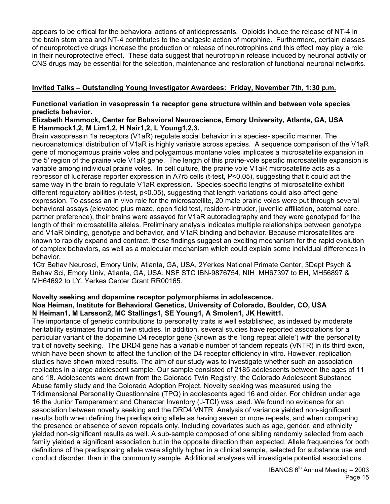appears to be critical for the behavioral actions of antidepressants. Opioids induce the release of NT-4 in the brain stem area and NT-4 contributes to the analgesic action of morphine. Furthermore, certain classes of neuroprotective drugs increase the production or release of neurotrophins and this effect may play a role in their neuroprotective effect. These data suggest that neurotrophin release induced by neuronal activity or CNS drugs may be essential for the selection, maintenance and restoration of functional neuronal networks.

# **Invited Talks – Outstanding Young Investigator Awardees: Friday, November 7th, 1:30 p.m.**

# **Functional variation in vasopressin 1a receptor gene structure within and between vole species predicts behavior.**

#### **Elizabeth Hammock, Center for Behavioral Neuroscience, Emory University, Atlanta, GA, USA E Hammock1,2, M Lim1,2, H Nair1,2, L Young1,2,3.**

Brain vasopressin 1a receptors (V1aR) regulate social behavior in a species- specific manner. The neuroanatomical distribution of V1aR is highly variable across species. A sequence comparison of the V1aR gene of monogamous prairie voles and polygamous montane voles implicates a microsatellite expansion in the 5' region of the prairie vole V1aR gene. The length of this prairie-vole specific microsatellite expansion is variable among individual prairie voles. In cell culture, the prairie vole V1aR microsatellite acts as a repressor of luciferase reporter expression in A7r5 cells (t-test, P<0.05), suggesting that it could act the same way in the brain to regulate V1aR expression. Species-specific lengths of microsatellite exhibit different regulatory abilities (t-test, p<0.05), suggesting that length variations could also affect gene expression. To assess an in vivo role for the microsatellite, 20 male prairie voles were put through several behavioral assays (elevated plus maze, open field test, resident-intruder, juvenile affiliation, paternal care, partner preference), their brains were assayed for V1aR autoradiography and they were genotyped for the length of their microsatellite alleles. Preliminary analysis indicates multiple relationships between genotype and V1aR binding, genotype and behavior, and V1aR binding and behavior. Because microsatellites are known to rapidly expand and contract, these findings suggest an exciting mechanism for the rapid evolution of complex behaviors, as well as a molecular mechanism which could explain some individual differences in behavior.

1Ctr Behav Neurosci, Emory Univ, Atlanta, GA, USA, 2Yerkes National Primate Center, 3Dept Psych & Behav Sci, Emory Univ, Atlanta, GA, USA. NSF STC IBN-9876754, NIH MH67397 to EH, MH56897 & MH64692 to LY, Yerkes Center Grant RR00165.

# **Novelty seeking and dopamine receptor polymorphisms in adolescence.**

#### **Noa Heiman, Institute for Behavioral Genetics, University of Colorado, Boulder, CO, USA N Heiman1, M Larsson2, MC Stallings1, SE Young1, A Smolen1, JK Hewitt1.**

The importance of genetic contributions to personality traits is well established, as indexed by moderate heritability estimates found in twin studies. In addition, several studies have reported associations for a particular variant of the dopamine D4 receptor gene (known as the 'long repeat allele') with the personality trait of novelty seeking. The DRD4 gene has a variable number of tandem repeats (VNTR) in its third exon, which have been shown to affect the function of the D4 receptor efficiency in vitro. However, replication studies have shown mixed results. The aim of our study was to investigate whether such an association replicates in a large adolescent sample. Our sample consisted of 2185 adolescents between the ages of 11 and 18. Adolescents were drawn from the Colorado Twin Registry, the Colorado Adolescent Substance Abuse family study and the Colorado Adoption Project. Novelty seeking was measured using the Tridimensional Personality Questionnaire (TPQ) in adolescents aged 16 and older. For children under age 16 the Junior Temperament and Character Inventory (J-TCI) was used. We found no evidence for an association between novelty seeking and the DRD4 VNTR. Analysis of variance yielded non-significant results both when defining the predisposing allele as having seven or more repeats, and when comparing the presence or absence of seven repeats only. Including covariates such as age, gender, and ethnicity yielded non-significant results as well. A sub-sample composed of one sibling randomly selected from each family yielded a significant association but in the opposite direction than expected. Allele frequencies for both definitions of the predisposing allele were slightly higher in a clinical sample, selected for substance use and conduct disorder, than in the community sample. Additional analyses will investigate potential associations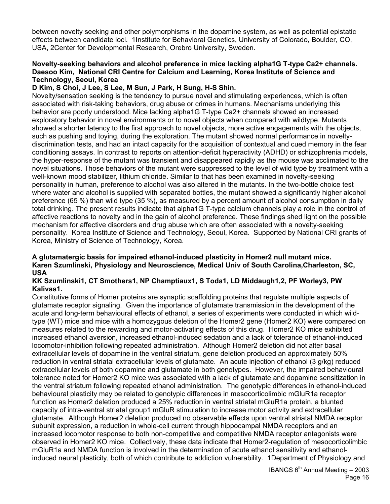between novelty seeking and other polymorphisms in the dopamine system, as well as potential epistatic effects between candidate loci. 1Institute for Behavioral Genetics, University of Colorado, Boulder, CO, USA, 2Center for Developmental Research, Orebro University, Sweden.

#### **Novelty-seeking behaviors and alcohol preference in mice lacking alpha1G T-type Ca2+ channels. Daesoo Kim, National CRI Centre for Calcium and Learning, Korea Institute of Science and Technology, Seoul, Korea**

#### **D Kim, S Choi, J Lee, S Lee, M Sun, J Park, H Sung, H-S Shin.**

Novelty/sensation seeking is the tendency to pursue novel and stimulating experiences, which is often associated with risk-taking behaviors, drug abuse or crimes in humans. Mechanisms underlying this behavior are poorly understood. Mice lacking alpha1G T-type Ca2+ channels showed an increased exploratory behavior in novel environments or to novel objects when compared with wildtype. Mutants showed a shorter latency to the first approach to novel objects, more active engagements with the objects, such as pushing and toying, during the exploration. The mutant showed normal performance in noveltydiscrimination tests, and had an intact capacity for the acquisition of contextual and cued memory in the fear conditioning assays. In contrast to reports on attention-deficit hyperactivity (ADHD) or schizophrenia models, the hyper-response of the mutant was transient and disappeared rapidly as the mouse was acclimated to the novel situations. Those behaviors of the mutant were suppressed to the level of wild type by treatment with a well-known mood stabilizer, lithium chloride. Similar to that has been examined in novelty-seeking personality in human, preference to alcohol was also altered in the mutants. In the two-bottle choice test where water and alcohol is supplied with separated bottles, the mutant showed a significantly higher alcohol preference (65 %) than wild type (35 %), as measured by a percent amount of alcohol consumption in daily total drinking. The present results indicate that alpha1G T-type calcium channels play a role in the control of affective reactions to novelty and in the gain of alcohol preference. These findings shed light on the possible mechanism for affective disorders and drug abuse which are often associated with a novelty-seeking personality. Korea Institute of Science and Technology, Seoul, Korea. Supported by National CRI grants of Korea, Ministry of Science of Technology, Korea.

#### **A glutamatergic basis for impaired ethanol-induced plasticity in Homer2 null mutant mice. Karen Szumlinski, Physiology and Neuroscience, Medical Univ of South Carolina,Charleston, SC, USA**

#### **KK Szumlinski1, CT Smothers1, NP Champtiaux1, S Toda1, LD Middaugh1,2, PF Worley3, PW Kalivas1.**

Constitutive forms of Homer proteins are synaptic scaffolding proteins that regulate multiple aspects of glutamate receptor signaling. Given the importance of glutamate transmission in the development of the acute and long-term behavioural effects of ethanol, a series of experiments were conducted in which wildtype (WT) mice and mice with a homozygous deletion of the Homer2 gene (Homer2 KO) were compared on measures related to the rewarding and motor-activating effects of this drug. Homer2 KO mice exhibited increased ethanol aversion, increased ethanol-induced sedation and a lack of tolerance of ethanol-induced locomotor-inhibition following repeated administration. Although Homer2 deletion did not alter basal extracellular levels of dopamine in the ventral striatum, gene deletion produced an approximately 50% reduction in ventral striatal extracellular levels of glutamate. An acute injection of ethanol (3 g/kg) reduced extracellular levels of both dopamine and glutamate in both genotypes. However, the impaired behavioural tolerance noted for Homer2 KO mice was associated with a lack of glutamate and dopamine sensitization in the ventral striatum following repeated ethanol administration. The genotypic differences in ethanol-induced behavioural plasticity may be related to genotypic differences in mesocorticolimbic mGluR1a receptor function as Homer2 deletion produced a 25% reduction in ventral striatal mGluR1a protein, a blunted capacity of intra-ventral striatal group1 mGluR stimulation to increase motor activity and extracellular glutamate. Although Homer2 deletion produced no observable effects upon ventral striatal NMDA receptor subunit expression, a reduction in whole-cell current through hippocampal NMDA receptors and an increased locomotor response to both non-competitive and competitive NMDA receptor antagonists were observed in Homer2 KO mice. Collectively, these data indicate that Homer2-regulation of mesocorticolimbic mGluR1a and NMDA function is involved in the determination of acute ethanol sensitivity and ethanolinduced neural plasticity, both of which contribute to addiction vulnerability. 1Department of Physiology and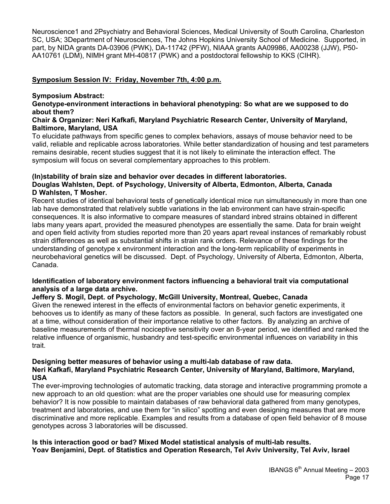Neuroscience1 and 2Psychiatry and Behavioral Sciences, Medical University of South Carolina, Charleston SC, USA; 3Department of Neurosciences, The Johns Hopkins University School of Medicine. Supported, in part, by NIDA grants DA-03906 (PWK), DA-11742 (PFW), NIAAA grants AA09986, AA00238 (JJW), P50- AA10761 (LDM), NIMH grant MH-40817 (PWK) and a postdoctoral fellowship to KKS (CIHR).

#### **Symposium Session IV: Friday, November 7th, 4:00 p.m.**

#### **Symposium Abstract:**

**Genotype-environment interactions in behavioral phenotyping: So what are we supposed to do about them?** 

#### **Chair & Organizer: Neri Kafkafi, Maryland Psychiatric Research Center, University of Maryland, Baltimore, Maryland, USA**

To elucidate pathways from specific genes to complex behaviors, assays of mouse behavior need to be valid, reliable and replicable across laboratories. While better standardization of housing and test parameters remains desirable, recent studies suggest that it is not likely to eliminate the interaction effect. The symposium will focus on several complementary approaches to this problem.

#### **(In)stability of brain size and behavior over decades in different laboratories. Douglas Wahlsten, Dept. of Psychology, University of Alberta, Edmonton, Alberta, Canada D Wahlsten, T Mosher.**

Recent studies of identical behavioral tests of genetically identical mice run simultaneously in more than one lab have demonstrated that relatively subtle variations in the lab environment can have strain-specific consequences. It is also informative to compare measures of standard inbred strains obtained in different labs many years apart, provided the measured phenotypes are essentially the same. Data for brain weight and open field activity from studies reported more than 20 years apart reveal instances of remarkably robust strain differences as well as substantial shifts in strain rank orders. Relevance of these findings for the understanding of genotype x environment interaction and the long-term replicability of experiments in neurobehavioral genetics will be discussed. Dept. of Psychology, University of Alberta, Edmonton, Alberta, Canada.

#### **Identification of laboratory environment factors influencing a behavioral trait via computational analysis of a large data archive.**

#### **Jeffery S. Mogil, Dept. of Psychology, McGill University, Montreal, Quebec, Canada**

Given the renewed interest in the effects of environmental factors on behavior genetic experiments, it behooves us to identify as many of these factors as possible. In general, such factors are investigated one at a time, without consideration of their importance relative to other factors. By analyzing an archive of baseline measurements of thermal nociceptive sensitivity over an 8-year period, we identified and ranked the relative influence of organismic, husbandry and test-specific environmental influences on variability in this trait.

#### **Designing better measures of behavior using a multi-lab database of raw data. Neri Kafkafi, Maryland Psychiatric Research Center, University of Maryland, Baltimore, Maryland, USA**

The ever-improving technologies of automatic tracking, data storage and interactive programming promote a new approach to an old question: what are the proper variables one should use for measuring complex behavior? It is now possible to maintain databases of raw behavioral data gathered from many genotypes, treatment and laboratories, and use them for "in silico" spotting and even designing measures that are more discriminative and more replicable. Examples and results from a database of open field behavior of 8 mouse genotypes across 3 laboratories will be discussed.

# **Is this interaction good or bad? Mixed Model statistical analysis of multi-lab results. Yoav Benjamini, Dept. of Statistics and Operation Research, Tel Aviv University, Tel Aviv, Israel**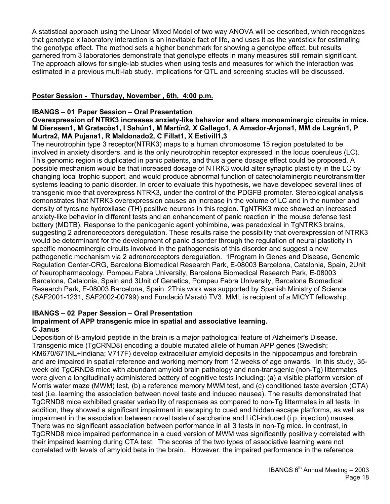A statistical approach using the Linear Mixed Model of two way ANOVA will be described, which recognizes that genotype x laboratory interaction is an inevitable fact of life, and uses it as the yardstick for estimating the genotype effect. The method sets a higher benchmark for showing a genotype effect, but results garnered from 3 laboratories demonstrate that genotype effects in many measures still remain significant. The approach allows for single-lab studies when using tests and measures for which the interaction was estimated in a previous multi-lab study. Implications for QTL and screening studies will be discussed.

# **Poster Session - Thursday, November , 6th, 4:00 p.m.**

# **IBANGS – 01 Paper Session – Oral Presentation**

#### **Overexpression of NTRK3 increases anxiety-like behavior and alters monoaminergic circuits in mice. M Dierssen1, M Gratacòs1, I Sahún1, M Martín2, X Gallego1, A Amador-Arjona1, MM de Lagrán1, P Murtra2, MA Pujana1, R Maldonado2, C Fillat1, X Estivill1,3**

The neurotrophin type 3 receptor(NTRK3) maps to a human chromosome 15 region postulated to be involved in anxiety disorders, and is the only neurotrophin receptor expressed in the locus coeruleus (LC). This genomic region is duplicated in panic patients, and thus a gene dosage effect could be proposed. A possible mechanism would be that increased dosage of NTRK3 would alter synaptic plasticity in the LC by changing local trophic support, and would produce abnormal function of catecholaminergic neurotransmitter systems leading to panic disorder. In order to evaluate this hypothesis, we have developed several lines of transgenic mice that overexpress NTRK3, under the control of the PDGFB promoter. Stereological analysis demonstrates that NTRK3 overexpression causes an increase in the volume of LC and in the number and density of tyrosine hydroxilase (TH) positive neurons in this region. TgNTRK3 mice showed an increased anxiety-like behavior in different tests and an enhancement of panic reaction in the mouse defense test battery (MDTB). Response to the panicogenic agent yohimbine, was paradoxical in TgNTRK3 brains, suggesting 2 adrenoreceptors deregulation. These results raise the possibility that overexpression of NTRK3 would be determinant for the development of panic disorder through the regulation of neural plasticity in specific monoaminergic circuits involved in the pathogenesis of this disorder and suggest a new pathogenetic mechanism via 2 adrenoreceptors deregulation. 1Program in Genes and Disease, Genomic Regulation Center-CRG, Barcelona Biomedical Research Park, E-08003 Barcelona, Catalonia, Spain, 2Unit of Neuropharmacology, Pompeu Fabra University, Barcelona Biomedical Research Park, E-08003 Barcelona, Catalonia, Spain and 3Unit of Genetics, Pompeu Fabra University, Barcelona Biomedical Research Park, E-08003 Barcelona, Spain. 2This work was supported by Spanish Ministry of Science (SAF2001-1231, SAF2002-00799) and Fundació Marató TV3. MML is recipient of a MICYT fellowship.

# **IBANGS – 02 Paper Session – Oral Presentation**

#### **Impairment of APP transgenic mice in spatial and associative learning. C Janus**

Deposition of ß-amyloid peptide in the brain is a major pathological feature of Alzheimer's Disease. Transgenic mice (TgCRND8) encoding a double mutated allele of human APP genes (Swedish; KM670/671NL+Indiana; V717F) develop extracellular amyloid deposits in the hippocampus and forebrain and are impaired in spatial reference and working memory from 12 weeks of age onwards. In this study, 35 week old TgCRND8 mice with abundant amyloid brain pathology and non-transgenic (non-Tg) littermates were given a longitudinally administered battery of cognitive tests including: (a) a visible platform version of Morris water maze (MWM) test, (b) a reference memory MWM test, and (c) conditioned taste aversion (CTA) test (i.e. learning the association between novel taste and induced nausea). The results demonstrated that TgCRND8 mice exhibited greater variability of responses as compared to non-Tg littermates in all tests. In addition, they showed a significant impairment in escaping to cued and hidden escape platforms, as well as impairment in the association between novel taste of saccharine and LiCl-induced (i.p. injection) nausea. There was no significant association between performance in all 3 tests in non-Tg mice. In contrast, in TgCRND8 mice impaired performance in a cued version of MWM was significantly positively correlated with their impaired learning during CTA test. The scores of the two types of associative learning were not correlated with levels of amyloid beta in the brain. However, the impaired performance in the reference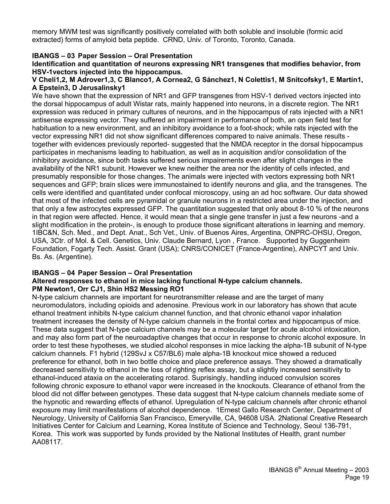memory MWM test was significantly positively correlated with both soluble and insoluble (formic acid extracted) forms of amyloid beta peptide. CRND, Univ. of Toronto, Toronto, Canada.

# **IBANGS – 03 Paper Session – Oral Presentation**

**Identification and quantitation of neurons expressing NR1 transgenes that modifies behavior, from HSV-1vectors injected into the hippocampus.** 

#### **V Cheli1,2, M Adrover1,3, C Blanco1, A Cornea2, G Sánchez1, N Colettis1, M Snitcofsky1, E Martín1, A Epstein3, D Jerusalinsky1**

We have shown that the expression of NR1 and GFP transgenes from HSV-1 derived vectors injected into the dorsal hippocampus of adult Wistar rats, mainly happened into neurons, in a discrete region. The NR1 expression was reduced in primary cultures of neurons, and in the hippocampus of rats injected with a NR1 antisense expressing vector. They suffered an impairment in performance of both, an open field test for habituation to a new environment, and an inhibitory avoidance to a foot-shock; while rats injected with the vector expressing NR1 did not show significant differences compared to naive animals. These results together with evidences previously reported- suggested that the NMDA receptor in the dorsal hippocampus participates in mechanisms leading to habituation, as well as in acquisition and/or consolidation of the inhibitory avoidance, since both tasks suffered serious impairements even after slight changes in the availability of the NR1 subunit. However we knew neither the area nor the identity of cells infected, and presumably responsible for those changes. The animals were injected with vectors expressing both NR1 sequences and GFP; brain slices were immunostained to identify neurons and glia, and the transgenes. The cells were identified and quantitated under confocal microscopy, using an ad hoc software. Our data showed that most of the infected cells are pyramidal or granule neurons in a restricted area under the injection, and that only a few astrocytes expressed GFP. The quantitation suggested that only about 8-10 % of the neurons in that region were affected. Hence, it would mean that a single gene transfer in just a few neurons -and a slight modification in the protein-, is enough to produce those significant alterations in learning and memory. 1IBC&N, Sch. Med., and Dept. Anat., Sch Vet., Univ. of Buenos Aires, Argentina, ONPRC-OHSU, Oregon, USA, 3Ctr. of Mol. & Cell. Genetics, Univ. Claude Bernard, Lyon , France. Supported by Guggenheim Foundation, Fogarty Tech. Assist. Grant (USA); CNRS/CONICET (France-Argentine), ANPCYT and Univ. Bs. As. (Argentine).

#### **IBANGS – 04 Paper Session – Oral Presentation Altered responses to ethanol in mice lacking functional N-type calcium channels. PM Newton1, Orr CJ1, Shin HS2 Messing RO1**

N-type calcium channels are important for neurotransmitter release and are the target of many neuromodulators, including opioids and adenosine. Previous work in our laboratory has shown that acute ethanol treatment inhibits N-type calcium channel function, and that chronic ethanol vapor inhalation treatment increases the density of N-type calcium channels in the frontal cortex and hippocampus of mice. These data suggest that N-type calcium channels may be a molecular target for acute alcohol intoxication, and may also form part of the neuroadaptive changes that occur in response to chronic alcohol exposure. In order to test these hypotheses, we studied alcohol responses in mice lacking the alpha-1B subunit of N-type calcium channels. F1 hybrid (129SvJ x C57/BL6) male alpha-1B knockout mice showed a reduced preference for ethanol, both in two bottle choice and place preference assays. They showed a dramatically decreased sensitivity to ethanol in the loss of righting reflex assay, but a slightly increased sensitivity to ethanol-induced ataxia on the accelerating rotarod. Suprisingly, handling induced convulsion scores following chronic exposure to ethanol vapor were increased in the knockouts. Clearance of ethanol from the blood did not differ between genotypes. These data suggest that N-type calcium channels mediate some of the hypnotic and rewarding effects of ethanol. Upregulation of N-type calcium channels after chronic ethanol exposure may limit manifestations of alcohol dependence. 1Ernest Gallo Research Center, Department of Neurology, University of California San Francisco, Emeryville, CA, 94608 USA. 2National Creative Research Initiatives Center for Calcium and Learning, Korea Institute of Science and Technology, Seoul 136-791, Korea. This work was supported by funds provided by the National Institutes of Health, grant number AA08117.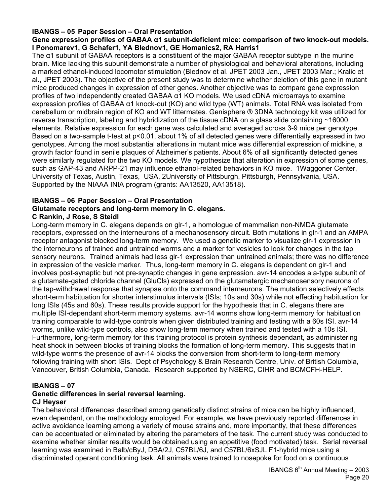#### **IBANGS – 05 Paper Session – Oral Presentation**

#### **Gene expression profiles of GABAA α1 subunit-deficient mice: comparison of two knock-out models. I Ponomarev1, G Schafer1, YA Blednov1, GE Homanics2, RA Harris1**

The α1 subunit of GABAA receptors is a constituent of the major GABAA receptor subtype in the murine brain. Mice lacking this subunit demonstrate a number of physiological and behavioral alterations, including a marked ethanol-induced locomotor stimulation (Blednov et al. JPET 2003 Jan., JPET 2003 Mar.; Kralic et al., JPET 2003). The objective of the present study was to determine whether deletion of this gene in mutant mice produced changes in expression of other genes. Another objective was to compare gene expression profiles of two independently created GABAA α1 KO models. We used cDNA microarrays to examine expression profiles of GABAA α1 knock-out (KO) and wild type (WT) animals. Total RNA was isolated from cerebellum or midbrain region of KO and WT littermates. Genisphere ® 3DNA technology kit was utilized for reverse transcription, labeling and hybridization of the tissue cDNA on a glass slide containing ~16000 elements. Relative expression for each gene was calculated and averaged across 3-9 mice per genotype. Based on a two-sample t-test at p<0.01, about 1% of all detected genes were differentially expressed in two genotypes. Among the most substantial alterations in mutant mice was differential expression of midkine, a growth factor found in senile plaques of Alzheimer's patients. About 6% of all significantly detected genes were similarly regulated for the two KO models. We hypothesize that alteration in expression of some genes, such as GAP-43 and ARPP-21 may influence ethanol-related behaviors in KO mice. 1Waggoner Center, University of Texas, Austin, Texas, USA, 2University of Pittsburgh, Pittsburgh, Pennsylvania, USA. Supported by the NIAAA INIA program (grants: AA13520, AA13518).

# **IBANGS – 06 Paper Session – Oral Presentation Glutamate receptors and long-term memory in C. elegans.**

# **C Rankin, J Rose, S Steidl**

Long-term memory in C. elegans depends on glr-1, a homologue of mammalian non-NMDA glutamate receptors, expressed on the interneurons of a mechanosensory circuit. Both mutations in glr-1 and an AMPA receptor antagonist blocked long-term memory. We used a genetic marker to visualize glr-1 expression in the interneurons of trained and untrained worms and a marker for vesicles to look for changes in the tap sensory neurons. Trained animals had less glr-1 expression than untrained animals; there was no difference in expression of the vesicle marker. Thus, long-term memory in C. elegans is dependent on glr-1 and involves post-synaptic but not pre-synaptic changes in gene expression. avr-14 encodes a a-type subunit of a glutamate-gated chloride channel (GluCls) expressed on the glutamatergic mechanosensory neurons of the tap-withdrawal response that synapse onto the command interneurons. The mutation selectively effects short-term habituation for shorter interstimulus intervals (ISIs; 10s and 30s) while not effecting habituation for long ISIs (45s and 60s). These results provide support for the hypothesis that in C. elegans there are multiple ISI-dependant short-term memory systems. avr-14 worms show long-term memory for habituation training comparable to wild-type controls when given distributed training and testing with a 60s ISI. avr-14 worms, unlike wild-type controls, also show long-term memory when trained and tested with a 10s ISI. Furthermore, long-term memory for this training protocol is protein synthesis dependant, as administering heat shock in between blocks of training blocks the formation of long-term memory. This suggests that in wild-type worms the presence of avr-14 blocks the conversion from short-term to long-term memory following training with short ISIs. Dept of Psychology & Brain Research Centre, Univ. of British Columbia, Vancouver, British Columbia, Canada. Research supported by NSERC, CIHR and BCMCFH-HELP.

#### **IBANGS – 07**

# **Genetic differences in serial reversal learning.**

# **CJ Heyser**

The behavioral differences described among genetically distinct strains of mice can be highly influenced, even dependent, on the methodology employed. For example, we have previously reported differences in active avoidance learning among a variety of mouse strains and, more importantly, that these differences can be accentuated or eliminated by altering the parameters of the task. The current study was conducted to examine whether similar results would be obtained using an appetitive (food motivated) task. Serial reversal learning was examined in Balb/cByJ, DBA/2J, C57BL/6J, and C57BL/6xSJL F1-hybrid mice using a discriminated operant conditioning task. All animals were trained to nosepoke for food on a continuous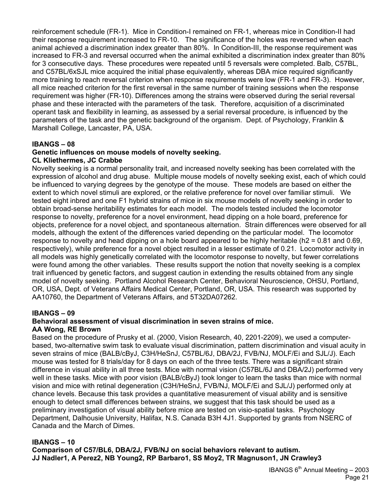reinforcement schedule (FR-1). Mice in Condition-I remained on FR-1, whereas mice in Condition-II had their response requirement increased to FR-10. The significance of the holes was reversed when each animal achieved a discrimination index greater than 80%. In Condition-III, the response requirement was increased to FR-3 and reversal occurred when the animal exhibited a discrimination index greater than 80% for 3 consecutive days. These procedures were repeated until 5 reversals were completed. Balb, C57BL, and C57BL/6xSJL mice acquired the initial phase equivalently, whereas DBA mice required significantly more training to reach reversal criterion when response requirements were low (FR-1 and FR-3). However, all mice reached criterion for the first reversal in the same number of training sessions when the response requirement was higher (FR-10). Differences among the strains were observed during the serial reversal phase and these interacted with the parameters of the task. Therefore, acquisition of a discriminated operant task and flexibility in learning, as assessed by a serial reversal procedure, is influenced by the parameters of the task and the genetic background of the organism. Dept. of Psychology, Franklin & Marshall College, Lancaster, PA, USA.

#### **IBANGS – 08**

#### **Genetic influences on mouse models of novelty seeking. CL Kliethermes, JC Crabbe**

Novelty seeking is a normal personality trait, and increased novelty seeking has been correlated with the expression of alcohol and drug abuse. Multiple mouse models of novelty seeking exist, each of which could be influenced to varying degrees by the genotype of the mouse. These models are based on either the extent to which novel stimuli are explored, or the relative preference for novel over familiar stimuli. We tested eight inbred and one F1 hybrid strains of mice in six mouse models of novelty seeking in order to obtain broad-sense heritability estimates for each model. The models tested included the locomotor response to novelty, preference for a novel environment, head dipping on a hole board, preference for objects, preference for a novel object, and spontaneous alternation. Strain differences were observed for all models, although the extent of the differences varied depending on the particular model. The locomotor response to novelty and head dipping on a hole board appeared to be highly heritable (h2 = 0.81 and 0.69, respectively), while preference for a novel object resulted in a lesser estimate of 0.21. Locomotor activity in all models was highly genetically correlated with the locomotor response to novelty, but fewer correlations were found among the other variables. These results support the notion that novelty seeking is a complex trait influenced by genetic factors, and suggest caution in extending the results obtained from any single model of novelty seeking. Portland Alcohol Research Center, Behavioral Neuroscience, OHSU, Portland, OR, USA, Dept. of Veterans Affairs Medical Center, Portland, OR, USA. This research was supported by AA10760, the Department of Veterans Affairs, and 5T32DA07262.

#### **IBANGS – 09**

#### **Behavioral assessment of visual discrimination in seven strains of mice. AA Wong, RE Brown**

Based on the procedure of Prusky et al. (2000, Vision Research, 40, 2201-2209), we used a computerbased, two-alternative swim task to evaluate visual discrimination, pattern discrimination and visual acuity in seven strains of mice (BALB/cByJ, C3H/HeSnJ, C57BL/6J, DBA/2J, FVB/NJ, MOLF/Ei and SJL/J). Each mouse was tested for 8 trials/day for 8 days on each of the three tests. There was a significant strain difference in visual ability in all three tests. Mice with normal vision (C57BL/6J and DBA/2J) performed very well in these tasks. Mice with poor vision (BALB/cByJ) took longer to learn the tasks than mice with normal vision and mice with retinal degeneration (C3H/HeSnJ, FVB/NJ, MOLF/Ei and SJL/J) performed only at chance levels. Because this task provides a quantitative measurement of visual ability and is sensitive enough to detect small differences between strains, we suggest that this task should be used as a preliminary investigation of visual ability before mice are tested on visio-spatial tasks. Psychology Department, Dalhousie University, Halifax, N.S. Canada B3H 4J1. Supported by grants from NSERC of Canada and the March of Dimes.

#### **IBANGS – 10**

**Comparison of C57/BL6, DBA/2J, FVB/NJ on social behaviors relevant to autism. JJ Nadler1, A Perez2, NB Young2, RP Barbaro1, SS Moy2, TR Magnuson1, JN Crawley3**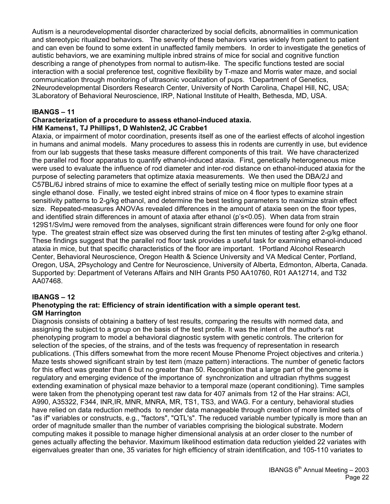Autism is a neurodevelopmental disorder characterized by social deficits, abnormalities in communication and stereotypic ritualized behaviors. The severity of these behaviors varies widely from patient to patient and can even be found to some extent in unaffected family members. In order to investigate the genetics of autistic behaviors, we are examining multiple inbred strains of mice for social and cognitive function describing a range of phenotypes from normal to autism-like. The specific functions tested are social interaction with a social preference test, cognitive flexibility by T-maze and Morris water maze, and social communication through monitoring of ultrasonic vocalization of pups. 1Department of Genetics, 2Neurodevelopmental Disorders Research Center, University of North Carolina, Chapel Hill, NC, USA; 3Laboratory of Behavioral Neuroscience, IRP, National Institute of Health, Bethesda, MD, USA.

#### **IBANGS – 11**

#### **Characterization of a procedure to assess ethanol-induced ataxia. HM Kamens1, TJ Phillips1, D Wahlsten2, JC Crabbe1**

Ataxia, or impairment of motor coordination, presents itself as one of the earliest effects of alcohol ingestion in humans and animal models. Many procedures to assess this in rodents are currently in use, but evidence from our lab suggests that these tasks measure different components of this trait. We have characterized the parallel rod floor apparatus to quantify ethanol-induced ataxia. First, genetically heterogeneous mice were used to evaluate the influence of rod diameter and inter-rod distance on ethanol-induced ataxia for the purpose of selecting parameters that optimize ataxia measurements. We then used the DBA/2J and C57BL/6J inbred strains of mice to examine the effect of serially testing mice on multiple floor types at a single ethanol dose. Finally, we tested eight inbred strains of mice on 4 floor types to examine strain sensitivity patterns to 2-g/kg ethanol, and determine the best testing parameters to maximize strain effect size. Repeated-measures ANOVAs revealed differences in the amount of ataxia seen on the floor types, and identified strain differences in amount of ataxia after ethanol (p's<0.05). When data from strain 129S1/SvlmJ were removed from the analyses, significant strain differences were found for only one floor type. The greatest strain effect size was observed during the first ten minutes of testing after 2-g/kg ethanol. These findings suggest that the parallel rod floor task provides a useful task for examining ethanol-induced ataxia in mice, but that specific characteristics of the floor are important. 1Portland Alcohol Research Center, Behavioral Neuroscience, Oregon Health & Science University and VA Medical Center, Portland, Oregon, USA, 2Psychology and Centre for Neuroscience, University of Alberta, Edmonton, Alberta, Canada. Supported by: Department of Veterans Affairs and NIH Grants P50 AA10760, R01 AA12714, and T32 AA07468.

#### **IBANGS – 12**

#### **Phenotyping the rat: Efficiency of strain identification with a simple operant test. GM Harrington**

Diagnosis consists of obtaining a battery of test results, comparing the results with normed data, and assigning the subject to a group on the basis of the test profile. It was the intent of the author's rat phenotyping program to model a behavioral diagnostic system with genetic controls. The criterion for selection of the species, of the strains, and of the tests was frequency of representation in research publications. (This differs somewhat from the more recent Mouse Phenome Project objectives and criteria.) Maze tests showed significant strain by test item (maze pattern) interactions. The number of genetic factors for this effect was greater than 6 but no greater than 50. Recognition that a large part of the genome is regulatory and emerging evidence of the importance of synchronization and ultradian rhythms suggest extending examination of physical maze behavior to a temporal maze (operant conditioning). Time samples were taken from the phenotyping operant test raw data for 407 animals from 12 of the Har strains: ACI, A990, A35322, F344, INR,IR, MNR, MNRA, MR, TS1, TS3, and WAG. For a century, behavioral studies have relied on data reduction methods to render data manageable through creation of more limited sets of "as if" variables or constructs, e.g., "factors", "QTL's". The reduced variable number typically is more than an order of magnitude smaller than the number of variables comprising the biological substrate. Modern computing makes it possible to manage higher dimensional analysis at an order closer to the number of genes actually affecting the behavior. Maximum likelihood estimation data reduction yielded 22 variates with eigenvalues greater than one, 35 variates for high efficiency of strain identification, and 105-110 variates to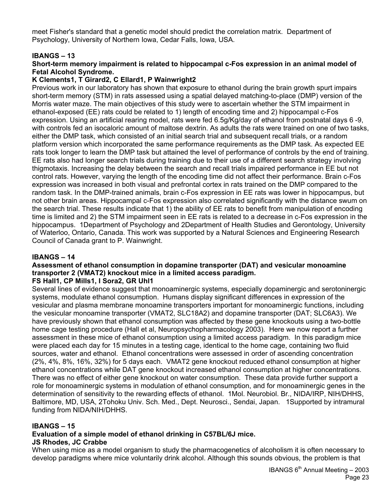meet Fisher's standard that a genetic model should predict the correlation matrix. Department of Psychology, University of Northern Iowa, Cedar Falls, Iowa, USA.

#### **IBANGS – 13**

#### **Short-term memory impairment is related to hippocampal c-Fos expression in an animal model of Fetal Alcohol Syndrome.**

#### **K Clements1, T Girard2, C Ellard1, P Wainwright2**

Previous work in our laboratory has shown that exposure to ethanol during the brain growth spurt impairs short-term memory (STM) in rats assessed using a spatial delayed matching-to-place (DMP) version of the Morris water maze. The main objectives of this study were to ascertain whether the STM impairment in ethanol-exposed (EE) rats could be related to 1) length of encoding time and 2) hippocampal c-Fos expression. Using an artificial rearing model, rats were fed 6.5g/Kg/day of ethanol from postnatal days 6 -9, with controls fed an isocaloric amount of maltose dextrin. As adults the rats were trained on one of two tasks, either the DMP task, which consisted of an initial search trial and subsequent recall trials, or a random platform version which incorporated the same performance requirements as the DMP task. As expected EE rats took longer to learn the DMP task but attained the level of performance of controls by the end of training. EE rats also had longer search trials during training due to their use of a different search strategy involving thigmotaxis. Increasing the delay between the search and recall trials impaired performance in EE but not control rats. However, varying the length of the encoding time did not affect their performance. Brain c-Fos expression was increased in both visual and prefrontal cortex in rats trained on the DMP compared to the random task. In the DMP-trained animals, brain c-Fos expression in EE rats was lower in hippocampus, but not other brain areas. Hippocampal c-Fos expression also correlated significantly with the distance swum on the search trial. These results indicate that 1) the ability of EE rats to benefit from manipulation of encoding time is limited and 2) the STM impairment seen in EE rats is related to a decrease in c-Fos expression in the hippocampus. 1Department of Psychology and 2Department of Health Studies and Gerontology, University of Waterloo, Ontario, Canada. This work was supported by a Natural Sciences and Engineering Research Council of Canada grant to P. Wainwright.

#### **IBANGS – 14**

# **Assessment of ethanol consumption in dopamine transporter (DAT) and vesicular monoamine transporter 2 (VMAT2) knockout mice in a limited access paradigm.**

#### **FS Hall1, CP Mills1, I Sora2, GR Uhl1**

Several lines of evidence suggest that monoaminergic systems, especially dopaminergic and serotoninergic systems, modulate ethanol consumption. Humans display significant differences in expression of the vesicular and plasma membrane monoamine transporters important for monoaminergic functions, including the vesicular monoamine transporter (VMAT2, SLC18A2) and dopamine transporter (DAT; SLC6A3). We have previously shown that ethanol consumption was affected by these gene knockouts using a two-bottle home cage testing procedure (Hall et al, Neuropsychopharmacology 2003). Here we now report a further assessment in these mice of ethanol consumption using a limited access paradigm. In this paradigm mice were placed each day for 15 minutes in a testing cage, identical to the home cage, containing two fluid sources, water and ethanol. Ethanol concentrations were assessed in order of ascending concentration (2%, 4%, 8%, 16%, 32%) for 5 days each. VMAT2 gene knockout reduced ethanol consumption at higher ethanol concentrations while DAT gene knockout increased ethanol consumption at higher concentrations. There was no effect of either gene knockout on water consumption. These data provide further support a role for monoaminergic systems in modulation of ethanol consumption, and for monoaminergic genes in the determination of sensitivity to the rewarding effects of ethanol. 1Mol. Neurobiol. Br., NIDA/IRP, NIH/DHHS, Baltimore, MD, USA, 2Tohoku Univ. Sch. Med., Dept. Neurosci., Sendai, Japan. 1Supported by intramural funding from NIDA/NIH/DHHS.

#### **IBANGS – 15**

#### **Evaluation of a simple model of ethanol drinking in C57BL/6J mice. JS Rhodes, JC Crabbe**

When using mice as a model organism to study the pharmacogenetics of alcoholism it is often necessary to develop paradigms where mice voluntarily drink alcohol. Although this sounds obvious, the problem is that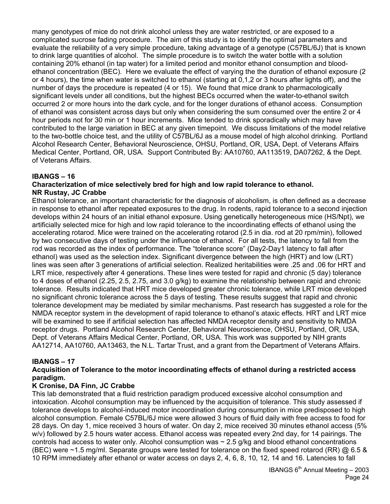many genotypes of mice do not drink alcohol unless they are water restricted, or are exposed to a complicated sucrose fading procedure. The aim of this study is to identify the optimal parameters and evaluate the reliability of a very simple procedure, taking advantage of a genotype (C57BL/6J) that is known to drink large quantities of alcohol. The simple procedure is to switch the water bottle with a solution containing 20% ethanol (in tap water) for a limited period and monitor ethanol consumption and bloodethanol concentration (BEC). Here we evaluate the effect of varying the the duration of ethanol exposure (2 or 4 hours), the time when water is switched to ethanol (starting at 0,1,2 or 3 hours after lights off), and the number of days the procedure is repeated (4 or 15). We found that mice drank to pharmacologically significant levels under all conditions, but the highest BECs occurred when the water-to-ethanol switch occurred 2 or more hours into the dark cycle, and for the longer durations of ethanol access. Consumption of ethanol was consistent across days but only when considering the sum consumed over the entire 2 or 4 hour periods not for 30 min or 1 hour increments. Mice tended to drink sporadically which may have contributed to the large variation in BEC at any given timepoint. We discuss limitations of the model relative to the two-bottle choice test, and the utility of C57BL/6J as a mouse model of high alcohol drinking. Portland Alcohol Research Center, Behavioral Neuroscience, OHSU, Portland, OR, USA, Dept. of Veterans Affairs Medical Center, Portland, OR, USA. Support Contributed By: AA10760, AA113519, DA07262, & the Dept. of Veterans Affairs.

# **IBANGS – 16**

#### **Characterization of mice selectively bred for high and low rapid tolerance to ethanol. NR Rustay, JC Crabbe**

Ethanol tolerance, an important characteristic for the diagnosis of alcoholism, is often defined as a decrease in response to ethanol after repeated exposures to the drug. In rodents, rapid tolerance to a second injection develops within 24 hours of an initial ethanol exposure. Using genetically heterogeneous mice (HS/Npt), we artificially selected mice for high and low rapid tolerance to the incoordinating effects of ethanol using the accelerating rotarod. Mice were trained on the accelerating rotarod (2.5 in dia. rod at 20 rpm/min), followed by two consecutive days of testing under the influence of ethanol. For all tests, the latency to fall from the rod was recorded as the index of performance. The "tolerance score" (Day2-Day1 latency to fall after ethanol) was used as the selection index. Significant divergence between the high (HRT) and low (LRT) lines was seen after 3 generations of artificial selection. Realized heritabilities were .25 and .06 for HRT and LRT mice, respectively after 4 generations. These lines were tested for rapid and chronic (5 day) tolerance to 4 doses of ethanol (2.25, 2.5, 2.75, and 3.0 g/kg) to examine the relationship between rapid and chronic tolerance. Results indicated that HRT mice developed greater chronic tolerance, while LRT mice developed no significant chronic tolerance across the 5 days of testing. These results suggest that rapid and chronic tolerance development may be mediated by similar mechanisms. Past research has suggested a role for the NMDA receptor system in the development of rapid tolerance to ethanol's ataxic effects. HRT and LRT mice will be examined to see if artificial selection has affected NMDA receptor density and sensitivity to NMDA receptor drugs. Portland Alcohol Research Center, Behavioral Neuroscience, OHSU, Portland, OR, USA, Dept. of Veterans Affairs Medical Center, Portland, OR, USA. This work was supported by NIH grants AA12714, AA10760, AA13463, the N.L. Tartar Trust, and a grant from the Department of Veterans Affairs.

#### **IBANGS – 17**

#### **Acquisition of Tolerance to the motor incoordinating effects of ethanol during a restricted access paradigm.**

#### **K Cronise, DA Finn, JC Crabbe**

This lab demonstrated that a fluid restriction paradigm produced excessive alcohol consumption and intoxication. Alcohol consumption may be influenced by the acquisition of tolerance. This study assessed if tolerance develops to alcohol-induced motor incoordination during consumption in mice predisposed to high alcohol consumption. Female C57BL/6J mice were allowed 3 hours of fluid daily with free access to food for 28 days. On day 1, mice received 3 hours of water. On day 2, mice received 30 minutes ethanol access (5% w/v) followed by 2.5 hours water access. Ethanol access was repeated every 2nd day, for 14 pairings. The controls had access to water only. Alcohol consumption was  $\sim$  2.5 g/kg and blood ethanol concentrations (BEC) were ~1.5 mg/ml. Separate groups were tested for tolerance on the fixed speed rotarod (RR) @ 6.5 & 10 RPM immediately after ethanol or water access on days 2, 4, 6, 8, 10, 12, 14 and 16. Latencies to fall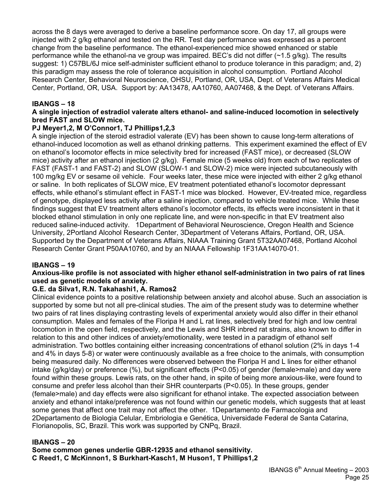across the 8 days were averaged to derive a baseline performance score. On day 17, all groups were injected with 2 g/kg ethanol and tested on the RR. Test day performance was expressed as a percent change from the baseline performance. The ethanol-experienced mice showed enhanced or stable performance while the ethanol-na ve group was impaired. BEC's did not differ (~1.5 g/kg). The results suggest: 1) C57BL/6J mice self-administer sufficient ethanol to produce tolerance in this paradigm; and, 2) this paradigm may assess the role of tolerance acquisition in alcohol consumption. Portland Alcohol Research Center, Behavioral Neuroscience, OHSU, Portland, OR, USA, Dept. of Veterans Affairs Medical Center, Portland, OR, USA. Support by: AA13478, AA10760, AA07468, & the Dept. of Veterans Affairs.

# **IBANGS – 18**

#### **A single injection of estradiol valerate alters ethanol- and saline-induced locomotion in selectively bred FAST and SLOW mice.**

# **PJ Meyer1,2, M O'Connor1, TJ Phillips1,2,3**

A single injection of the steroid estradiol valerate (EV) has been shown to cause long-term alterations of ethanol-induced locomotion as well as ethanol drinking patterns. This experiment examined the effect of EV on ethanol's locomotor effects in mice selectivity bred for increased (FAST mice), or decreased (SLOW mice) activity after an ethanol injection (2 g/kg). Female mice (5 weeks old) from each of two replicates of FAST (FAST-1 and FAST-2) and SLOW (SLOW-1 and SLOW-2) mice were injected subcutaneously with 100 mg/kg EV or sesame oil vehicle. Four weeks later, these mice were injected with either 2 g/kg ethanol or saline. In both replicates of SLOW mice, EV treatment potentiated ethanol's locomotor depressant effects, while ethanol's stimulant effect in FAST-1 mice was blocked. However, EV-treated mice, regardless of genotype, displayed less activity after a saline injection, compared to vehicle treated mice. While these findings suggest that EV treatment alters ethanol's locomotor effects, its effects were inconsistent in that it blocked ethanol stimulation in only one replicate line, and were non-specific in that EV treatment also reduced saline-induced activity. 1Department of Behavioral Neuroscience, Oregon Health and Science University, 2Portland Alcohol Research Center, 3Department of Veterans Affairs, Portland, OR, USA. Supported by the Department of Veterans Affairs, NIAAA Training Grant 5T32AA07468, Portland Alcohol Research Center Grant P50AA10760, and by an NIAAA Fellowship 1F31AA14070-01.

#### **IBANGS – 19**

#### **Anxious-like profile is not associated with higher ethanol self-administration in two pairs of rat lines used as genetic models of anxiety.**

#### **G.E. da Silva1, R.N. Takahashi1, A. Ramos2**

Clinical evidence points to a positive relationship between anxiety and alcohol abuse. Such an association is supported by some but not all pre-clinical studies. The aim of the present study was to determine whether two pairs of rat lines displaying contrasting levels of experimental anxiety would also differ in their ethanol consumption. Males and females of the Floripa H and L rat lines, selectively bred for high and low central locomotion in the open field, respectively, and the Lewis and SHR inbred rat strains, also known to differ in relation to this and other indices of anxiety/emotionality, were tested in a paradigm of ethanol self administration. Two bottles containing either increasing concentrations of ethanol solution (2% in days 1-4 and 4% in days 5-8) or water were continuously available as a free choice to the animals, with consumption being measured daily. No differences were observed between the Floripa H and L lines for either ethanol intake (g/kg/day) or preference (%), but significant effects (P<0.05) of gender (female>male) and day were found within these groups. Lewis rats, on the other hand, in spite of being more anxious-like, were found to consume and prefer less alcohol than their SHR counterparts (P<0.05). In these groups, gender (female>male) and day effects were also significant for ethanol intake. The expected association between anxiety and ethanol intake/preference was not found within our genetic models, which suggests that at least some genes that affect one trait may not affect the other. 1Departamento de Farmacologia and 2Departamento de Biologia Celular, Embriologia e Genética, Universidade Federal de Santa Catarina, Florianopolis, SC, Brazil. This work was supported by CNPq, Brazil.

#### **IBANGS – 20**

**Some common genes underlie GBR-12935 and ethanol sensitivity. C Reed1, C McKinnon1, S Burkhart-Kasch1, M Huson1, T Phillips1,2**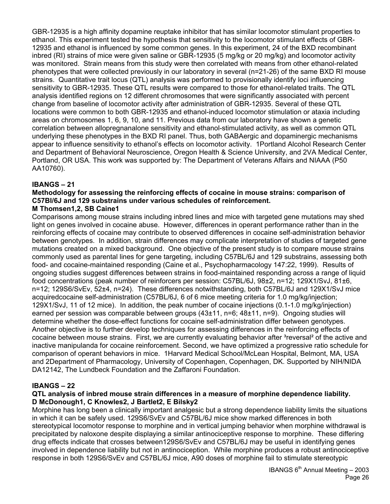GBR-12935 is a high affinity dopamine reuptake inhibitor that has similar locomotor stimulant properties to ethanol. This experiment tested the hypothesis that sensitivity to the locomotor stimulant effects of GBR-12935 and ethanol is influenced by some common genes. In this experiment, 24 of the BXD recombinant inbred (RI) strains of mice were given saline or GBR-12935 (5 mg/kg or 20 mg/kg) and locomotor activity was monitored. Strain means from this study were then correlated with means from other ethanol-related phenotypes that were collected previously in our laboratory in several (n=21-26) of the same BXD RI mouse strains. Quantitative trait locus (QTL) analysis was performed to provisionally identify loci influencing sensitivity to GBR-12935. These QTL results were compared to those for ethanol-related traits. The QTL analysis identified regions on 12 different chromosomes that were significantly associated with percent change from baseline of locomotor activity after administration of GBR-12935. Several of these QTL locations were common to both GBR-12935 and ethanol-induced locomotor stimulation or ataxia including areas on chromosomes 1, 6, 9, 10, and 11. Previous data from our laboratory have shown a genetic correlation between allopregnanalone sensitivity and ethanol-stimulated activity, as well as common QTL underlying these phenotypes in the BXD RI panel. Thus, both GABAergic and dopaminergic mechanisms appear to influence sensitivity to ethanol's effects on locomotor activity. 1Portland Alcohol Research Center and Department of Behavioral Neuroscience, Oregon Health & Science University, and 2VA Medical Center, Portland, OR USA. This work was supported by: The Department of Veterans Affairs and NIAAA (P50 AA10760).

# **IBANGS – 21**

# **Methodology for assessing the reinforcing effects of cocaine in mouse strains: comparison of C57Bl/6J and 129 substrains under various schedules of reinforcement.**

# **M Thomsen1,2, SB Caine1**

Comparisons among mouse strains including inbred lines and mice with targeted gene mutations may shed light on genes involved in cocaine abuse. However, differences in operant performance rather than in the reinforcing effects of cocaine may contribute to observed differences in cocaine self-administration behavior between genotypes. In addition, strain differences may complicate interpretation of studies of targeted gene mutations created on a mixed background. One objective of the present study is to compare mouse strains commonly used as parental lines for gene targeting, including C57BL/6J and 129 substrains, assessing both food- and cocaine-maintained responding (Caine et al., Psychopharmacology 147:22, 1999). Results of ongoing studies suggest differences between strains in food-maintained responding across a range of liquid food concentrations (peak number of reinforcers per session: C57BL/6J, 98±2, n=12; 129X1/SvJ, 81±6, n=12; 129S6/SvEv, 52±4, n=24). These differences notwithstanding, both C57BL/6J and 129X1/SvJ mice acquiredcocaine self-administration (C57BL/6J, 6 of 6 mice meeting criteria for 1.0 mg/kg/injection; 129X1/SvJ, 11 of 12 mice). In addition, the peak number of cocaine injections (0.1-1.0 mg/kg/injection) earned per session was comparable between groups (43±11, n=6; 48±11, n=9). Ongoing studies will determine whether the dose-effect functions for cocaine self-administration differ between genotypes. Another objective is to further develop techniques for assessing differences in the reinforcing effects of cocaine between mouse strains. First, we are currently evaluating behavior after <sup>3</sup>reversal<sup>2</sup> of the active and inactive manipulanda for cocaine reinforcement. Second, we have optimized a progressive ratio schedule for comparison of operant behaviors in mice. 1Harvard Medical School/McLean Hospital, Belmont, MA, USA and 2Department of Pharmacology, University of Copenhagen, Copenhagen, DK. Supported by NIH/NIDA DA12142, The Lundbeck Foundation and the Zaffaroni Foundation.

# **IBANGS – 22**

#### **QTL analysis of inbred mouse strain differences in a measure of morphine dependence liability. D McDonough1, C Knowles2, J Bartlet2, E Bilsky2**

Morphine has long been a clinically important analgesic but a strong dependence liability limits the situations in which it can be safely used. 129S6/SvEv and C57BL/6J mice show marked differences in both stereotypical locomotor response to morphine and in vertical jumping behavior when morphine withdrawal is precipitated by naloxone despite displaying a similar antinociceptive response to morphine. These differing drug effects indicate that crosses between129S6/SvEv and C57BL/6J may be useful in identifying genes involved in dependence liability but not in antinociception. While morphine produces a robust antinociceptive response in both 129S6/SvEv and C57BL/6J mice, A90 doses of morphine fail to stimulate stereotypic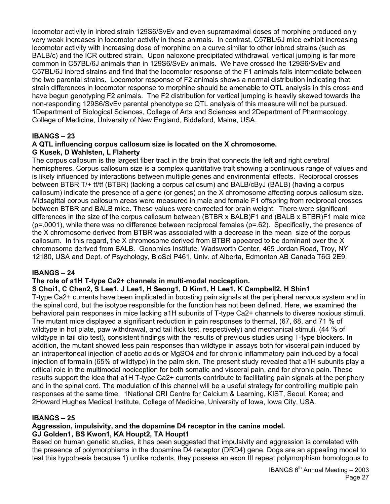locomotor activity in inbred strain 129S6/SvEv and even supramaximal doses of morphine produced only very weak increases in locomotor activity in these animals. In contrast, C57BL/6J mice exhibit increasing locomotor activity with increasing dose of morphine on a curve similar to other inbred strains (such as BALB/c) and the ICR outbred strain. Upon naloxone precipitated withdrawal, vertical jumping is far more common in C57BL/6J animals than in 129S6/SvEv animals. We have crossed the 129S6/SvEv and C57BL/6J inbred strains and find that the locomotor response of the F1 animals falls intermediate between the two parental strains. Locomotor response of F2 animals shows a normal distribution indicating that strain differences in locomotor response to morphine should be amenable to QTL analysis in this cross and have begun genotyping F2 animals. The F2 distribution for vertical jumping is heavily skewed towards the non-responding 129S6/SvEv parental phenotype so QTL analysis of this measure will not be pursued. 1Department of Biological Sciences, College of Arts and Sciences and 2Department of Pharmacology, College of Medicine, University of New England, Biddeford, Maine, USA.

# **IBANGS – 23**

#### **A QTL influencing corpus callosum size is located on the X chromosome. G Kusek, D Wahlsten, L Flaherty**

The corpus callosum is the largest fiber tract in the brain that connects the left and right cerebral hemispheres. Corpus callosum size is a complex quantitative trait showing a continuous range of values and is likely influenced by interactions between multiple genes and environmental effects. Reciprocal crosses between BTBR T/+ tf/tf (BTBR) (lacking a corpus callosum) and BALB/cByJ (BALB) (having a corpus callosum) indicate the presence of a gene (or genes) on the X chromosome affecting corpus callosum size. Midsagittal corpus callosum areas were measured in male and female F1 offspring from reciprocal crosses between BTBR and BALB mice. These values were corrected for brain weight. There were significant differences in the size of the corpus callosum between (BTBR x BALB)F1 and (BALB x BTBR)F1 male mice (p=.0001), while there was no difference between reciprocal females (p=.62). Specifically, the presence of the X chromosome derived from BTBR was associated with a decrease in the mean size of the corpus callosum. In this regard, the X chromosome derived from BTBR appeared to be dominant over the X chromosome derived from BALB. Genomics Institute, Wadsworth Center, 465 Jordan Road, Troy, NY 12180, USA and Dept. of Psychology, BioSci P461, Univ. of Alberta, Edmonton AB Canada T6G 2E9.

#### **IBANGS – 24**

#### **The role of a1H T-type Ca2+ channels in multi-modal nociception.**

#### **S Choi1, C Chen2, S Lee1, J Lee1, H Seong1, D Kim1, H Lee1, K Campbell2, H Shin1**

T-type Ca2+ currents have been implicated in boosting pain signals at the peripheral nervous system and in the spinal cord, but the isotype responsible for the function has not been defined. Here, we examined the behavioral pain responses in mice lacking a1H subunits of T-type Ca2+ channels to diverse noxious stimuli. The mutant mice displayed a significant reduction in pain responses to thermal, (67, 68, and 71 % of wildtype in hot plate, paw withdrawal, and tail flick test, respectively) and mechanical stimuli, (44 % of wildtype in tail clip test), consistent findings with the results of previous studies using T-type blockers. In addition, the mutant showed less pain responses than wildtype in assays both for visceral pain induced by an intraperitoneal injection of acetic acids or MgSO4 and for chronic inflammatory pain induced by a focal injection of formalin (65% of wildtype) in the palm skin. The present study revealed that a1H subunits play a critical role in the multimodal nociception for both somatic and visceral pain, and for chronic pain. These results support the idea that a1H T-type Ca2+ currents contribute to facilitating pain signals at the periphery and in the spinal cord. The modulation of this channel will be a useful strategy for controlling multiple pain responses at the same time. 1National CRI Centre for Calcium & Learning, KIST, Seoul, Korea; and 2Howard Hughes Medical Institute, College of Medicine, University of Iowa, Iowa City, USA.

#### **IBANGS – 25**

# **Aggression, impulsivity, and the dopamine D4 receptor in the canine model.**

#### **GJ Golden1, BS Kwon1, KA Houpt2, TA Houpt1**

Based on human genetic studies, it has been suggested that impulsivity and aggression is correlated with the presence of polymorphisms in the dopamine D4 receptor (DRD4) gene. Dogs are an appealing model to test this hypothesis because 1) unlike rodents, they possess an exon III repeat polymorphism homologous to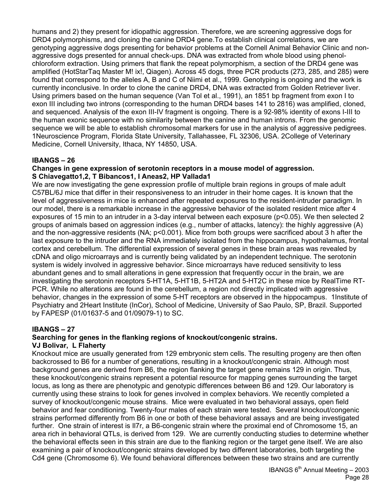humans and 2) they present for idiopathic aggression. Therefore, we are screening aggressive dogs for DRD4 polymorphisms, and cloning the canine DRD4 gene.To establish clinical correlations, we are genotyping aggressive dogs presenting for behavior problems at the Cornell Animal Behavior Clinic and nonaggressive dogs presented for annual check-ups. DNA was extracted from whole blood using phenolchloroform extraction. Using primers that flank the repeat polymorphism, a section of the DRD4 gene was amplified (HotStarTaq Master M! ix!, Qiagen). Across 45 dogs, three PCR products (273, 285, and 285) were found that correspond to the alleles A, B and C of Niimi et al., 1999. Genotyping is ongoing and the work is currently inconclusive. In order to clone the canine DRD4, DNA was extracted from Golden Retriever liver. Using primers based on the human sequence (Van Tol et al., 1991), an 1851 bp fragment from exon I to exon III including two introns (corresponding to the human DRD4 bases 141 to 2816) was amplified, cloned, and sequenced. Analysis of the exon III-IV fragment is ongoing. There is a 92-98% identity of exons I-III to the human exonic sequence with no similarity between the canine and human introns. From the genomic sequence we will be able to establish chromosomal markers for use in the analysis of aggressive pedigrees. 1Neuroscience Program, Florida State University, Tallahassee, FL 32306, USA. 2College of Veterinary Medicine, Cornell University, Ithaca, NY 14850, USA.

#### **IBANGS – 26**

#### **Changes in gene expression of serotonin receptors in a mouse model of aggression. S Chiavegatto1,2, T Bibancos1, I Aneas2, HP Vallada1**

We are now investigating the gene expression profile of multiple brain regions in groups of male adult C57BL/6J mice that differ in their responsiveness to an intruder in their home cages. It is known that the level of aggressiveness in mice is enhanced after repeated exposures to the resident-intruder paradigm. In our model, there is a remarkable increase in the aggressive behavior of the isolated resident mice after 4 exposures of 15 min to an intruder in a 3-day interval between each exposure (p<0.05). We then selected 2 groups of animals based on aggression indices (e.g., number of attacks, latency): the highly aggressive (A) and the non-aggressive residents (NA; p<0.001). Mice from both groups were sacrificed about 3 h after the last exposure to the intruder and the RNA immediately isolated from the hippocampus, hypothalamus, frontal cortex and cerebellum. The differential expression of several genes in these brain areas was revealed by cDNA and oligo microarrays and is currently being validated by an independent technique. The serotonin system is widely involved in aggressive behavior. Since microarrays have reduced sensitivity to less abundant genes and to small alterations in gene expression that frequently occur in the brain, we are investigating the serotonin receptors 5-HT1A, 5-HT1B, 5-HT2A and 5-HT2C in these mice by RealTime RT-PCR. While no alterations are found in the cerebellum, a region not directly implicated with aggressive behavior, changes in the expression of some 5-HT receptors are observed in the hippocampus. 1Institute of Psychiatry and 2Heart Institute (InCor), School of Medicine, University of Sao Paulo, SP, Brazil. Supported by FAPESP (01/01637-5 and 01/09079-1) to SC.

#### **IBANGS – 27**

# **Searching for genes in the flanking regions of knockout/congenic strains.**

#### **VJ Bolivar, L Flaherty**

Knockout mice are usually generated from 129 embryonic stem cells. The resulting progeny are then often backcrossed to B6 for a number of generations, resulting in a knockout/congenic strain. Although most background genes are derived from B6, the region flanking the target gene remains 129 in origin. Thus, these knockout/congenic strains represent a potential resource for mapping genes surrounding the target locus, as long as there are phenotypic and genotypic differences between B6 and 129. Our laboratory is currently using these strains to look for genes involved in complex behaviors. We recently completed a survey of knockout/congenic mouse strains. Mice were evaluated in two behavioral assays, open field behavior and fear conditioning. Twenty-four males of each strain were tested. Several knockout/congenic strains performed differently from B6 in one or both of these behavioral assays and are being investigated further. One strain of interest is Il7r, a B6-congenic strain where the proximal end of Chromosome 15, an area rich in behavioral QTLs, is derived from 129. We are currently conducting studies to determine whether the behavioral effects seen in this strain are due to the flanking region or the target gene itself. We are also examining a pair of knockout/congenic strains developed by two different laboratories, both targeting the Cd4 gene (Chromosome 6). We found behavioral differences between these two strains and are currently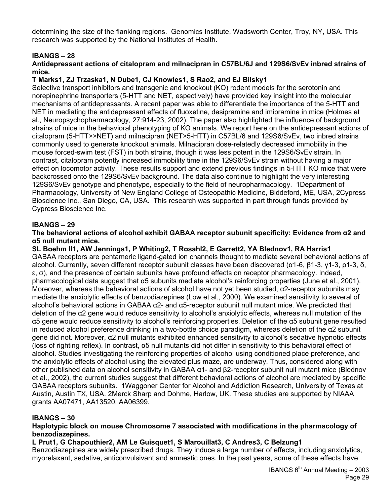determining the size of the flanking regions. Genomics Institute, Wadsworth Center, Troy, NY, USA. This research was supported by the National Institutes of Health.

# **IBANGS – 28**

#### **Antidepressant actions of citalopram and milnacipran in C57BL/6J and 129S6/SvEv inbred strains of mice.**

#### **T Marks1, ZJ Trzaska1, N Dube1, CJ Knowles1, S Rao2, and EJ Bilsky1**

Selective transport inhibitors and transgenic and knockout (KO) rodent models for the serotonin and norepinephrine transporters (5-HTT and NET, espectively) have provided key insight into the molecular mechanisms of antidepressants. A recent paper was able to differentiate the importance of the 5-HTT and NET in mediating the antidepressant effects of fluoxetine, desipramine and imipramine in mice (Holmes et al., Neuropsychopharmacology, 27:914-23, 2002). The paper also highlighted the influence of background strains of mice in the behavioral phenotyping of KO animals. We report here on the antidepressant actions of citalopram (5-HTT>>NET) and milnacipran (NET>5-HTT) in C57BL/6 and 129S6/SvEv, two inbred strains commonly used to generate knockout animals. Milnacipran dose-relatedly decreased immobility in the mouse forced-swim test (FST) in both strains, though it was less potent in the 129S6/SvEv strain. In contrast, citalopram potently increased immobility time in the 129S6/SvEv strain without having a major effect on locomotor activity. These results support and extend previous findings in 5-HTT KO mice that were backcrossed onto the 129S6/SvEv background. The data also continue to highlight the very interesting 129S6/SvEv genotype and phenotype, especially to the field of neuropharmacology. 1Department of Pharmacology, University of New England College of Osteopathic Medicine, Biddeford, ME, USA, 2Cypress Bioscience Inc., San Diego, CA, USA. This research was supported in part through funds provided by Cypress Bioscience Inc.

#### **IBANGS – 29**

#### **The behavioral actions of alcohol exhibit GABAA receptor subunit specificity: Evidence from α2 and α5 null mutant mice.**

**SL Boehm II1, AW Jennings1, P Whiting2, T Rosahl2, E Garrett2, YA Blednov1, RA Harris1**  GABAA receptors are pentameric ligand-gated ion channels thought to mediate several behavioral actions of alcohol. Currently, seven different receptor subunit classes have been discovered (α1-6, β1-3, γ1-3, ρ1-3, δ, ε, σ), and the presence of certain subunits have profound effects on receptor pharmacology. Indeed, pharmacological data suggest that α5 subunits mediate alcohol's reinforcing properties (June et al., 2001). Moreover, whereas the behavioral actions of alcohol have not yet been studied, α2-receptor subunits may mediate the anxiolytic effects of benzodiazepines (Low et al., 2000). We examined sensitivity to several of alcohol's behavioral actions in GABAA α2- and α5-receptor subunit null mutant mice. We predicted that deletion of the α2 gene would reduce sensitivity to alcohol's anxiolytic effects, whereas null mutation of the α5 gene would reduce sensitivity to alcohol's reinforcing properties. Deletion of the α5 subunit gene resulted in reduced alcohol preference drinking in a two-bottle choice paradigm, whereas deletion of the α2 subunit gene did not. Moreover, α2 null mutants exhibited enhanced sensitivity to alcohol's sedative hypnotic effects (loss of righting reflex). In contrast, α5 null mutants did not differ in sensitivity to this behavioral effect of alcohol. Studies investigating the reinforcing properties of alcohol using conditioned place preference, and the anxiolytic effects of alcohol using the elevated plus maze, are underway. Thus, considered along with other published data on alcohol sensitivity in GABAA α1- and β2-receptor subunit null mutant mice (Blednov et al., 2002), the current studies suggest that different behavioral actions of alcohol are mediated by specific GABAA receptors subunits. 1Waggoner Center for Alcohol and Addiction Research, University of Texas at Austin, Austin TX, USA. 2Merck Sharp and Dohme, Harlow, UK. These studies are supported by NIAAA grants AA07471, AA13520, AA06399.

#### **IBANGS – 30**

#### **Haplotypic block on mouse Chromosome 7 associated with modifications in the pharmacology of benzodiazepines.**

#### **L Prut1, G Chapouthier2, AM Le Guisquet1, S Marouillat3, C Andres3, C Belzung1**

Benzodiazepines are widely prescribed drugs. They induce a large number of effects, including anxiolytics, myorelaxant, sedative, anticonvulsivant and amnestic ones. In the past years, some of these effects have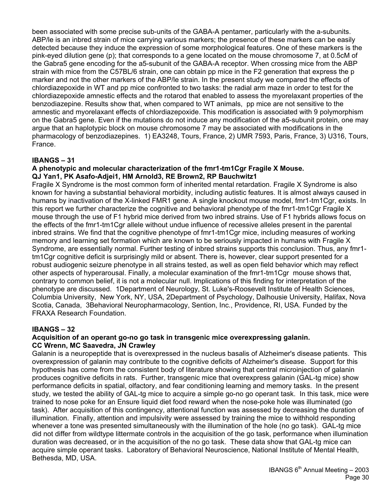been associated with some precise sub-units of the GABA-A pentamer, particularly with the a-subunits. ABP/le is an inbred strain of mice carrying various markers; the presence of these markers can be easily detected because they induce the expression of some morphological features. One of these markers is the pink-eyed dilution gene (p); that corresponds to a gene located on the mouse chromosome 7, at 0.5cM of the Gabra5 gene encoding for the a5-subunit of the GABA-A receptor. When crossing mice from the ABP strain with mice from the C57BL/6 strain, one can obtain pp mice in the F2 generation that express the p marker and not the other markers of the ABP/le strain. In the present study we compared the effects of chlordiazepoxide in WT and pp mice confronted to two tasks: the radial arm maze in order to test for the chlordiazepoxide amnestic effects and the rotarod that enabled to assess the myorelaxant properties of the benzodiazepine. Results show that, when compared to WT animals, pp mice are not sensitive to the amnestic and myorelaxant effects of chlordiazepoxide. This modification is associated with 9 polymorphism on the Gabra5 gene. Even if the mutations do not induce any modification of the a5-subunit protein, one may argue that an haplotypic block on mouse chromosome 7 may be associated with modifications in the pharmacology of benzodiazepines. 1) EA3248, Tours, France, 2) UMR 7593, Paris, France, 3) U316, Tours, France.

# **IBANGS – 31**

#### **A phenotypic and molecular characterization of the fmr1-tm1Cgr Fragile X Mouse. QJ Yan1, PK Asafo-Adjei1, HM Arnold3, RE Brown2, RP Bauchwitz1**

Fragile X Syndrome is the most common form of inherited mental retardation. Fragile X Syndrome is also known for having a substantial behavioral morbidity, including autistic features. It is almost always caused in humans by inactivation of the X-linked FMR1 gene. A single knockout mouse model, fmr1-tm1Cgr, exists. In this report we further characterize the cognitive and behavioral phenotype of the fmr1-tm1Cgr Fragile X mouse through the use of F1 hybrid mice derived from two inbred strains. Use of F1 hybrids allows focus on the effects of the fmr1-tm1Cgr allele without undue influence of recessive alleles present in the parental inbred strains. We find that the cognitive phenotype of fmr1-tm1Cgr mice, including measures of working memory and learning set formation which are known to be seriously impacted in humans with Fragile X Syndrome, are essentially normal. Further testing of inbred strains supports this conclusion. Thus, any fmr1 tm1Cgr cognitive deficit is surprisingly mild or absent. There is, however, clear support presented for a robust audiogenic seizure phenotype in all strains tested, as well as open field behavior which may reflect other aspects of hyperarousal. Finally, a molecular examination of the fmr1-tm1Cgr mouse shows that, contrary to common belief, it is not a molecular null. Implications of this finding for interpretation of the phenotype are discussed. 1Department of Neurology, St. Luke's-Roosevelt Institute of Health Sciences, Columbia University, New York, NY, USA, 2Department of Psychology, Dalhousie University, Halifax, Nova Scotia, Canada, 3Behavioral Neuropharmacology, Sention, Inc., Providence, RI, USA. Funded by the FRAXA Research Foundation.

#### **IBANGS – 32**

# **Acquisition of an operant go-no go task in transgenic mice overexpressing galanin. CC Wrenn, MC Saavedra, JN Crawley**

Galanin is a neuropeptide that is overexpressed in the nucleus basalis of Alzheimer's disease patients. This overexpression of galanin may contribute to the cognitive deficits of Alzheimer's disease. Support for this hypothesis has come from the consistent body of literature showing that central microinjection of galanin produces cognitive deficits in rats. Further, transgenic mice that overexpress galanin (GAL-tg mice) show performance deficits in spatial, olfactory, and fear conditioning learning and memory tasks. In the present study, we tested the ability of GAL-tg mice to acquire a simple go-no go operant task. In this task, mice were trained to nose poke for an Ensure liquid diet food reward when the nose-poke hole was illuminated (go task). After acquisition of this contingency, attentional function was assessed by decreasing the duration of illumination. Finally, attention and impulsivity were assessed by training the mice to withhold responding whenever a tone was presented simultaneously with the illumination of the hole (no go task). GAL-tg mice did not differ from wildtype littermate controls in the acquisition of the go task, performance when illumination duration was decreased, or in the acquisition of the no go task. These data show that GAL-tg mice can acquire simple operant tasks. Laboratory of Behavioral Neuroscience, National Institute of Mental Health, Bethesda, MD, USA.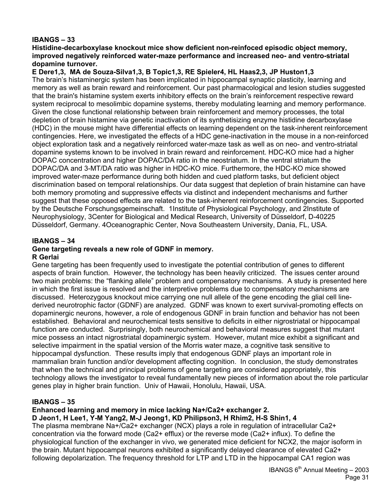# **IBANGS – 33**

**Histidine-decarboxylase knockout mice show deficient non-reinfoced episodic object memory, improved negatively reinforced water-maze performance and increased neo- and ventro-striatal dopamine turnover.** 

**E Dere1,3, MA de Souza-Silva1,3, B Topic1,3, RE Spieler4, HL Haas2,3, JP Huston1,3** 

The brain's histaminergic system has been implicated in hippocampal synaptic plasticity, learning and memory as well as brain reward and reinforcement. Our past pharmacological and lesion studies suggested that the brain's histamine system exerts inhibitory effects on the brain's reinforcement respective reward system reciprocal to mesolimbic dopamine systems, thereby modulating learning and memory performance. Given the close functional relationship between brain reinforcement and memory processes, the total depletion of brain histamine via genetic inactivation of its synthetisizing enzyme histidine decarboxylase (HDC) in the mouse might have differential effects on learning dependent on the task-inherent reinforcement contingencies. Here, we investigated the effects of a HDC gene-inactivation in the mouse in a non-reinforced object exploration task and a negatively reinforced water-maze task as well as on neo- and ventro-striatal dopamine systems known to be involved in brain reward and reinforcement. HDC-KO mice had a higher DOPAC concentration and higher DOPAC/DA ratio in the neostriatum. In the ventral striatum the DOPAC/DA and 3-MT/DA ratio was higher in HDC-KO mice. Furthermore, the HDC-KO mice showed improved water-maze performance during both hidden and cued platform tasks, but deficient object discrimination based on temporal relationships. Our data suggest that depletion of brain histamine can have both memory promoting and suppressive effects via distinct and independent mechanisms and further suggest that these opposed effects are related to the task-inherent reinforcement contingencies. Supported by the Deutsche Forschungsgemeinschaft. 1Institute of Physiological Psychology, and 2Institute of Neurophysiology, 3Center for Biological and Medical Research, University of Düsseldorf, D-40225 Düsseldorf, Germany. 4Oceanographic Center, Nova Southeastern University, Dania, FL, USA.

#### **IBANGS – 34**

# **Gene targeting reveals a new role of GDNF in memory.**

#### **R Gerlai**

Gene targeting has been frequently used to investigate the potential contribution of genes to different aspects of brain function. However, the technology has been heavily criticized. The issues center around two main problems: the "flanking allele" problem and compensatory mechanisms. A study is presented here in which the first issue is resolved and the interpretive problems due to compensatory mechanisms are discussed. Heterozygous knockout mice carrying one null allele of the gene encoding the glial cell linederived neurotrophic factor (GDNF) are analyzed. GDNF was known to exert survival-promoting effects on dopaminergic neurons, however, a role of endogenous GDNF in brain function and behavior has not been established. Behavioral and neurochemical tests sensitive to deficits in either nigrostriatal or hippocampal function are conducted. Surprisingly, both neurochemical and behavioral measures suggest that mutant mice possess an intact nigrostriatal dopaminergic system. However, mutant mice exhibit a significant and selective impairment in the spatial version of the Morris water maze, a cognitive task sensitive to hippocampal dysfunction. These results imply that endogenous GDNF plays an important role in mammalian brain function and/or development affecting cognition. In conclusion, the study demonstrates that when the technical and principal problems of gene targeting are considered appropriately, this technology allows the investigator to reveal fundamentally new pieces of information about the role particular genes play in higher brain function. Univ of Hawaii, Honolulu, Hawaii, USA.

#### **IBANGS – 35**

#### **Enhanced learning and memory in mice lacking Na+/Ca2+ exchanger 2.**

**D Jeon1, H Lee1, Y-M Yang2, M-J Jeong1, KD Philipson3, H Rhim2, H-S Shin1, 4** 

The plasma membrane Na+/Ca2+ exchanger (NCX) plays a role in regulation of intracellular Ca2+ concentration via the forward mode (Ca2+ efflux) or the reverse mode (Ca2+ influx). To define the physiological function of the exchanger in vivo, we generated mice deficient for NCX2, the major isoform in the brain. Mutant hippocampal neurons exhibited a significantly delayed clearance of elevated Ca2+ following depolarization. The frequency threshold for LTP and LTD in the hippocampal CA1 region was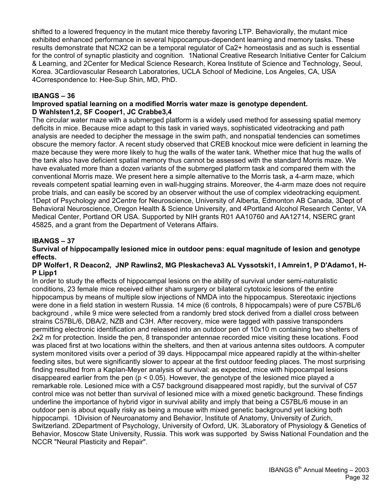shifted to a lowered frequency in the mutant mice thereby favoring LTP. Behaviorally, the mutant mice exhibited enhanced performance in several hippocampus-dependent learning and memory tasks. These results demonstrate that NCX2 can be a temporal regulator of Ca2+ homeostasis and as such is essential for the control of synaptic plasticity and cognition. 1National Creative Research Initiative Center for Calcium & Learning, and 2Center for Medical Science Research, Korea Institute of Science and Technology, Seoul, Korea. 3Cardiovascular Research Laboratories, UCLA School of Medicine, Los Angeles, CA, USA 4Correspondence to: Hee-Sup Shin, MD, PhD.

#### **IBANGS – 36**

#### **Improved spatial learning on a modified Morris water maze is genotype dependent. D Wahlsten1,2, SF Cooper1, JC Crabbe3,4**

The circular water maze with a submerged platform is a widely used method for assessing spatial memory deficits in mice. Because mice adapt to this task in varied ways, sophisticated videotracking and path analysis are needed to decipher the message in the swim path, and nonspatial tendencies can sometimes obscure the memory factor. A recent study observed that CREB knockout mice were deficient in learning the maze because they were more likely to hug the walls of the water tank. Whether mice that hug the walls of the tank also have deficient spatial memory thus cannot be assessed with the standard Morris maze. We have evaluated more than a dozen variants of the submerged platform task and compared them with the conventional Morris maze. We present here a simple alternative to the Morris task, a 4-arm maze, which reveals competent spatial learning even in wall-hugging strains. Moreover, the 4-arm maze does not require probe trials, and can easily be scored by an observer without the use of complex videotracking equipment. 1Dept of Psychology and 2Centre for Neuroscience, University of Alberta, Edmonton AB Canada, 3Dept of Behavioral Neuroscience, Oregon Health & Science University, and 4Portland Alcohol Research Center, VA Medical Center, Portland OR USA. Supported by NIH grants R01 AA10760 and AA12714, NSERC grant 45825, and a grant from the Department of Veterans Affairs.

# **IBANGS – 37**

#### **Survival of hippocampally lesioned mice in outdoor pens: equal magnitude of lesion and genotype effects.**

#### **DP Wolfer1, R Deacon2, JNP Rawlins2, MG Pleskacheva3 AL Vyssotski1, I Amrein1, P D'Adamo1, H-P Lipp1**

In order to study the effects of hippocampal lesions on the ability of survival under semi-naturalistic conditions, 23 female mice received either sham surgery or bilateral cytotoxic lesions of the entire hippocampus by means of multiple slow injections of NMDA into the hippocampus. Stereotaxic injections were done in a field station in western Russia. 14 mice (6 controls, 8 hippocampals) were of pure C57BL/6 background , while 9 mice were selected from a randomly bred stock derived from a diallel cross between strains C57BL/6, DBA/2, NZB and C3H. After recovery, mice were tagged with passive transponders permitting electronic identification and released into an outdoor pen of 10x10 m containing two shelters of 2x2 m for protection. Inside the pen, 8 transponder antennae recorded mice visiting these locations. Food was placed first at two locations within the shelters, and then at various antenna sites outdoors. A computer system monitored visits over a period of 39 days. Hippocampal mice appeared rapidly at the within-shelter feeding sites, but were significantly slower to appear at the first outdoor feeding places. The most surprising finding resulted from a Kaplan-Meyer analysis of survival: as expected, mice with hippocampal lesions disappeared earlier from the pen (p < 0.05). However, the genotype of the lesioned mice played a remarkable role. Lesioned mice with a C57 background disappeared most rapidly, but the survival of C57 control mice was not better than survival of lesioned mice with a mixed genetic background. These findings underline the importance of hybrid vigor in survival ability and imply that being a C57BL/6 mouse in an outdoor pen is about equally risky as being a mouse with mixed genetic background yet lacking both hippocampi. 1Division of Neuroanatomy and Behavior, Institute of Anatomy, University of Zurich, Switzerland. 2Department of Psychology, University of Oxford, UK. 3Laboratory of Physiology & Genetics of Behavior, Moscow State University, Russia. This work was supported by Swiss National Foundation and the NCCR "Neural Plasticity and Repair".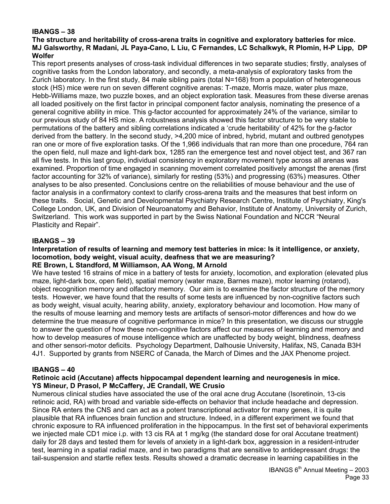# **IBANGS – 38**

#### **The structure and heritability of cross-arena traits in cognitive and exploratory batteries for mice. MJ Galsworthy, R Madani, JL Paya-Cano, L Liu, C Fernandes, LC Schalkwyk, R Plomin, H-P Lipp, DP Wolfer**

This report presents analyses of cross-task individual differences in two separate studies; firstly, analyses of cognitive tasks from the London laboratory, and secondly, a meta-analysis of exploratory tasks from the Zurich laboratory. In the first study, 84 male sibling pairs (total N=168) from a population of heterogeneous stock (HS) mice were run on seven different cognitive arenas: T-maze, Morris maze, water plus maze, Hebb-Williams maze, two puzzle boxes, and an object exploration task. Measures from these diverse arenas all loaded positively on the first factor in principal component factor analysis, nominating the presence of a general cognitive ability in mice. This g-factor accounted for approximately 24% of the variance, similar to our previous study of 84 HS mice. A robustness analysis showed this factor structure to be very stable to permutations of the battery and sibling correlations indicated a 'crude heritability' of 42% for the g-factor derived from the battery. In the second study, >4,200 mice of inbred, hybrid, mutant and outbred genotypes ran one or more of five exploration tasks. Of the 1,966 individuals that ran more than one procedure, 764 ran the open field, null maze and light-dark box, 1285 ran the emergence test and novel object test, and 367 ran all five tests. In this last group, individual consistency in exploratory movement type across all arenas was examined. Proportion of time engaged in scanning movement correlated positively amongst the arenas (first factor accounting for 32% of variance), similarly for resting (53%) and progressing (63%) measures. Other analyses to be also presented. Conclusions centre on the reliabilities of mouse behaviour and the use of factor analysis in a confirmatory context to clarify cross-arena traits and the measures that best inform on these traits. Social, Genetic and Developmental Psychiatry Research Centre, Institute of Psychiatry, King's College London, UK, and Division of Neuroanatomy and Behavior, Institute of Anatomy, University of Zurich, Switzerland. This work was supported in part by the Swiss National Foundation and NCCR "Neural Plasticity and Repair".

# **IBANGS – 39**

#### **Interpretation of results of learning and memory test batteries in mice: Is it intelligence, or anxiety, locomotion, body weight, visual acuity, deafness that we are measuring? RE Brown, L Standford, M Williamson, AA Wong, M Arnold**

We have tested 16 strains of mice in a battery of tests for anxiety, locomotion, and exploration (elevated plus maze, light-dark box, open field), spatial memory (water maze, Barnes maze), motor learning (rotarod), object recognition memory and olfactory memory. Our aim is to examine the factor structure of the memory tests. However, we have found that the results of some tests are influenced by non-cognitive factors such as body weight, visual acuity, hearing ability, anxiety, exploratory behaviour and locomotion. How many of the results of mouse learning and memory tests are artifacts of sensori-motor differences and how do we determine the true measure of cognitive performance in mice? In this presentation, we discuss our struggle to answer the question of how these non-cognitive factors affect our measures of learning and memory and how to develop measures of mouse intelligence which are unaffected by body weight, blindness, deafness and other sensori-motor deficits. Psychology Department, Dalhousie University, Halifax, NS, Canada B3H 4J1. Supported by grants from NSERC of Canada, the March of Dimes and the JAX Phenome project.

#### **IBANGS – 40**

#### **Retinoic acid (Accutane) affects hippocampal dependent learning and neurogenesis in mice. YS Mineur, D Prasol, P McCaffery, JE Crandall, WE Crusio**

Numerous clinical studies have associated the use of the oral acne drug Accutane (Isoretinoin, 13-cis retinoic acid, RA) with broad and variable side-effects on behavior that include headache and depression. Since RA enters the CNS and can act as a potent transcriptional activator for many genes, it is quite plausible that RA influences brain function and structure. Indeed, in a different experiment we found that chronic exposure to RA influenced proliferation in the hippocampus. In the first set of behavioral experiments we injected male CD1 mice i.p. with 13 cis RA at 1 mg/kg (the standard dose for oral Accutane treatment) daily for 28 days and tested them for levels of anxiety in a light-dark box, aggression in a resident-intruder test, learning in a spatial radial maze, and in two paradigms that are sensitive to antidepressant drugs: the tail-suspension and startle reflex tests. Results showed a dramatic decrease in learning capabilities in the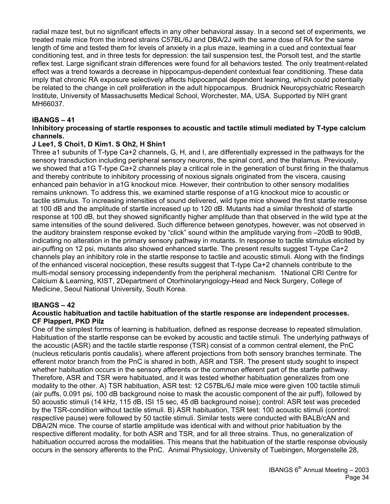radial maze test, but no significant effects in any other behavioral assay. In a second set of experiments, we treated male mice from the inbred strains C57BL/6J and DBA/2J with the same dose of RA for the same length of time and tested them for levels of anxiety in a plus maze, learning in a cued and contextual fear conditioning test, and in three tests for depression: the tail suspension test, the Porsolt test, and the startle reflex test. Large significant strain differences were found for all behaviors tested. The only treatment-related effect was a trend towards a decrease in hippocampus-dependent contextual fear conditioning. These data imply that chronic RA exposure selectively affects hippocampal dependent learning, which could potentially be related to the change in cell proliferation in the adult hippocampus. Brudnick Neuropsychiatric Research Institute, University of Massachusetts Medical School, Worchester, MA, USA. Supported by NIH grant MH66037.

# **IBANGS – 41**

#### **Inhibitory processing of startle responses to acoustic and tactile stimuli mediated by T-type calcium channels.**

#### **J Lee1, S Choi1, D Kim1. S Oh2, H Shin1**

Three a1 subunits of T-type Ca+2 channels, G, H, and I, are differentially expressed in the pathways for the sensory transduction including peripheral sensory neurons, the spinal cord, and the thalamus. Previously, we showed that a1G T-type Ca+2 channels play a critical role in the generation of burst firing in the thalamus and thereby contribute to inhibitory processing of noxious signals originated from the viscera, causing enhanced pain behavior in a1G knockout mice. However, their contribution to other sensory modalities remains unknown. To address this, we examined startle response of a1G knockout mice to acoustic or tactile stimulus. To increasing intensities of sound delivered, wild type mice showed the first startle response at 100 dB and the amplitude of startle increased up to 120 dB. Mutants had a similar threshold of startle response at 100 dB, but they showed significantly higher amplitude than that observed in the wild type at the same intensities of the sound delivered. Such difference between genotypes, however, was not observed in the auditory brainstem response evoked by "click" sound within the amplitude varying from -20dB to 90dB, indicating no alteration in the primary sensory pathway in mutants. In response to tactile stimulus elicited by air-puffing on 12 psi, mutants also showed enhanced startle. The present results suggest T-type Ca+2 channels play an inhibitory role in the startle response to tactile and acoustic stimuli. Along with the findings of the enhanced visceral nociception, these results suggest that T-type Ca+2 channels contribute to the multi-modal sensory processing independently from the peripheral mechanism. 1National CRI Centre for Calcium & Learning, KIST, 2Department of Otorhinolaryngology-Head and Neck Surgery, College of Medicine, Seoul National University, South Korea.

#### **IBANGS – 42**

#### **Acoustic habituation and tactile habituation of the startle response are independent processes. CF Plappert, PKD Pilz**

One of the simplest forms of learning is habituation, defined as response decrease to repeated stimulation. Habituation of the startle response can be evoked by acoustic and tactile stimuli. The underlying pathways of the acoustic (ASR) and the tactile startle response (TSR) consist of a common central element, the PnC (nucleus reticularis pontis caudalis), where afferent projections from both sensory branches terminate. The efferent motor branch from the PnC is shared in both, ASR and TSR. The present study sought to inspect whether habituation occurs in the sensory afferents or the common efferent part of the startle pathway. Therefore, ASR and TSR were habituated, and it was tested whether habituation generalizes from one modality to the other. A) TSR habituation, ASR test: 12 C57BL/6J male mice were given 100 tactile stimuli (air puffs, 0.091 psi, 100 dB background noise to mask the acoustic component of the air puff), followed by 50 acoustic stimuli (14 kHz, 115 dB, ISI 15 sec, 45 dB background noise); control: ASR test was preceded by the TSR-condition without tactile stimuli. B) ASR habituation, TSR test: 100 acoustic stimuli (control: respective pause) were followed by 50 tactile stimuli. Similar tests were conducted with BALB/cAN and DBA/2N mice. The course of startle amplitude was identical with and without prior habituation by the respective different modality, for both ASR and TSR, and for all three strains. Thus, no generalization of habituation occurred across the modalities. This means that the habituation of the startle response obviously occurs in the sensory afferents to the PnC. Animal Physiology, University of Tuebingen, Morgenstelle 28,